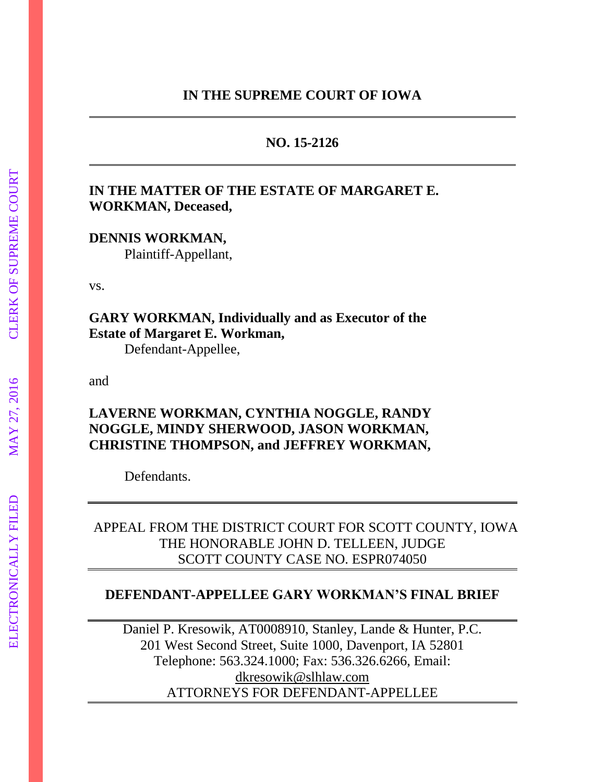# **NO. 15-2126**

# **IN THE MATTER OF THE ESTATE OF MARGARET E. WORKMAN, Deceased,**

**DENNIS WORKMAN,** 

Plaintiff-Appellant,

vs.

**GARY WORKMAN, Individually and as Executor of the Estate of Margaret E. Workman,**

Defendant-Appellee,

and

# **LAVERNE WORKMAN, CYNTHIA NOGGLE, RANDY NOGGLE, MINDY SHERWOOD, JASON WORKMAN, CHRISTINE THOMPSON, and JEFFREY WORKMAN,**

Defendants.

# APPEAL FROM THE DISTRICT COURT FOR SCOTT COUNTY, IOWA THE HONORABLE JOHN D. TELLEEN, JUDGE SCOTT COUNTY CASE NO. ESPR074050

# **DEFENDANT-APPELLEE GARY WORKMAN'S FINAL BRIEF**

Daniel P. Kresowik, AT0008910, Stanley, Lande & Hunter, P.C. 201 West Second Street, Suite 1000, Davenport, IA 52801 Telephone: 563.324.1000; Fax: 536.326.6266, Email: [dkresowik@slhlaw.com](mailto:dkresowik@slhlaw.com) ATTORNEYS FOR DEFENDANT-APPELLEE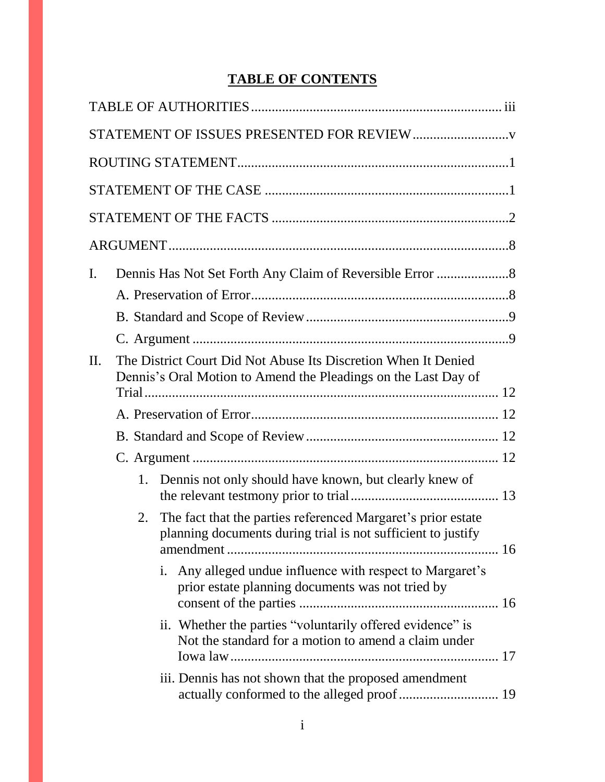# **TABLE OF CONTENTS**

| $\mathbf{I}$ . |    |                                                                                                                                  |  |
|----------------|----|----------------------------------------------------------------------------------------------------------------------------------|--|
|                |    |                                                                                                                                  |  |
|                |    |                                                                                                                                  |  |
|                |    |                                                                                                                                  |  |
| II.            |    | The District Court Did Not Abuse Its Discretion When It Denied<br>Dennis's Oral Motion to Amend the Pleadings on the Last Day of |  |
|                |    |                                                                                                                                  |  |
|                |    |                                                                                                                                  |  |
|                |    |                                                                                                                                  |  |
|                | 1. | Dennis not only should have known, but clearly knew of                                                                           |  |
|                | 2. | The fact that the parties referenced Margaret's prior estate<br>planning documents during trial is not sufficient to justify     |  |
|                |    | i. Any alleged undue influence with respect to Margaret's<br>prior estate planning documents was not tried by                    |  |
|                |    | ii. Whether the parties "voluntarily offered evidence" is<br>Not the standard for a motion to amend a claim under                |  |
|                |    | iii. Dennis has not shown that the proposed amendment<br>actually conformed to the alleged proof  19                             |  |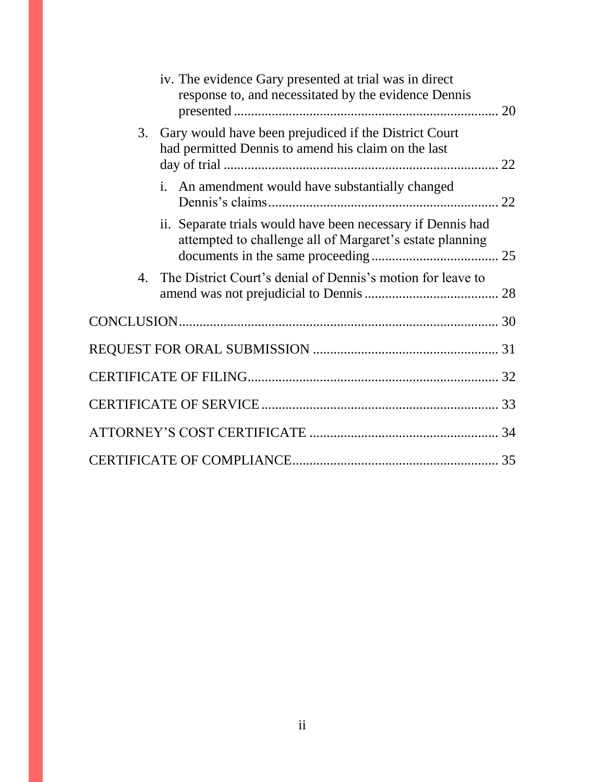| iv. The evidence Gary presented at trial was in direct<br>response to, and necessitated by the evidence Dennis          |
|-------------------------------------------------------------------------------------------------------------------------|
| Gary would have been prejudiced if the District Court<br>3.<br>had permitted Dennis to amend his claim on the last      |
| i. An amendment would have substantially changed                                                                        |
| ii. Separate trials would have been necessary if Dennis had<br>attempted to challenge all of Margaret's estate planning |
| The District Court's denial of Dennis's motion for leave to<br>4.                                                       |
|                                                                                                                         |
|                                                                                                                         |
|                                                                                                                         |
|                                                                                                                         |
|                                                                                                                         |
|                                                                                                                         |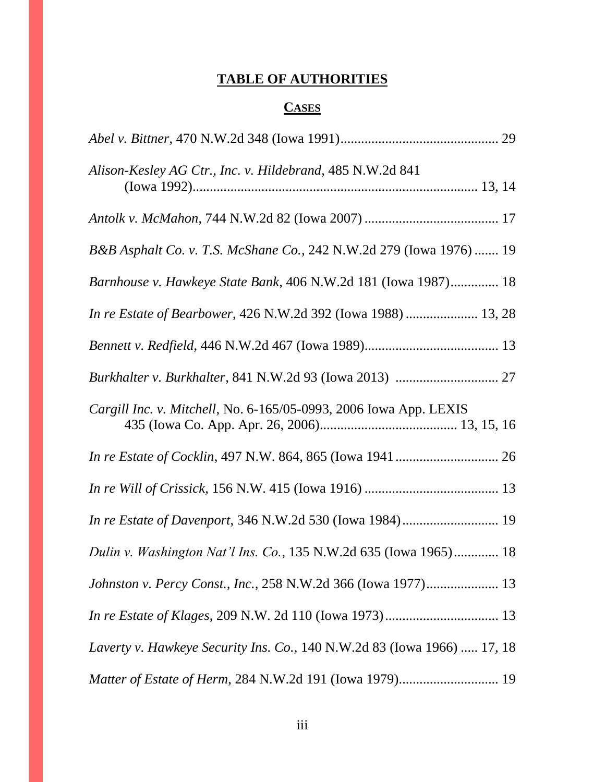# **TABLE OF AUTHORITIES**

# **CASES**

| Alison-Kesley AG Ctr., Inc. v. Hildebrand, 485 N.W.2d 841               |  |
|-------------------------------------------------------------------------|--|
|                                                                         |  |
| B&B Asphalt Co. v. T.S. McShane Co., 242 N.W.2d 279 (Iowa 1976)  19     |  |
| Barnhouse v. Hawkeye State Bank, 406 N.W.2d 181 (Iowa 1987) 18          |  |
| In re Estate of Bearbower, 426 N.W.2d 392 (Iowa 1988)  13, 28           |  |
|                                                                         |  |
|                                                                         |  |
| Cargill Inc. v. Mitchell, No. 6-165/05-0993, 2006 Iowa App. LEXIS       |  |
|                                                                         |  |
|                                                                         |  |
|                                                                         |  |
| Dulin v. Washington Nat'l Ins. Co., 135 N.W.2d 635 (Iowa 1965) 18       |  |
| Johnston v. Percy Const., Inc., 258 N.W.2d 366 (Iowa 1977) 13           |  |
|                                                                         |  |
| Laverty v. Hawkeye Security Ins. Co., 140 N.W.2d 83 (Iowa 1966)  17, 18 |  |
| Matter of Estate of Herm, 284 N.W.2d 191 (Iowa 1979) 19                 |  |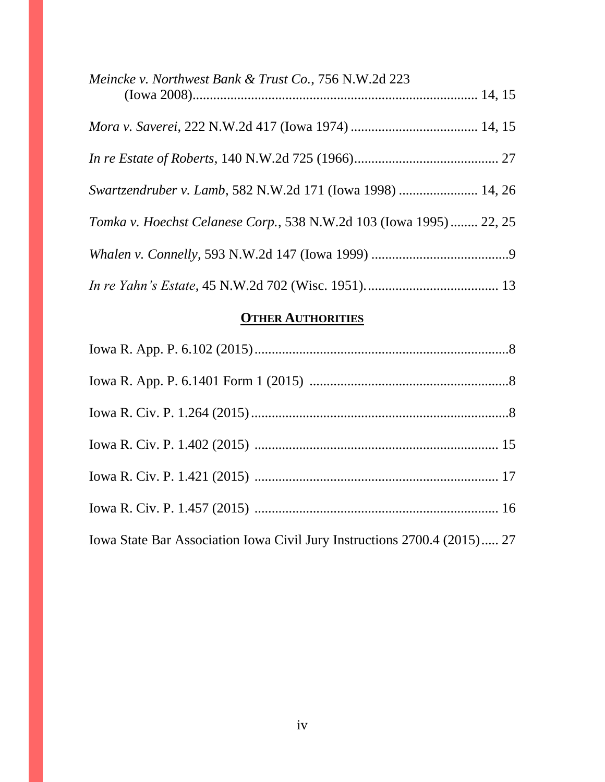| Meincke v. Northwest Bank & Trust Co., 756 N.W.2d 223              |  |
|--------------------------------------------------------------------|--|
|                                                                    |  |
|                                                                    |  |
| Swartzendruber v. Lamb, 582 N.W.2d 171 (Iowa 1998)  14, 26         |  |
| Tomka v. Hoechst Celanese Corp., 538 N.W.2d 103 (Iowa 1995) 22, 25 |  |
|                                                                    |  |
|                                                                    |  |

# **OTHER AUTHORITIES**

| Iowa State Bar Association Iowa Civil Jury Instructions 2700.4 (2015) 27 |  |
|--------------------------------------------------------------------------|--|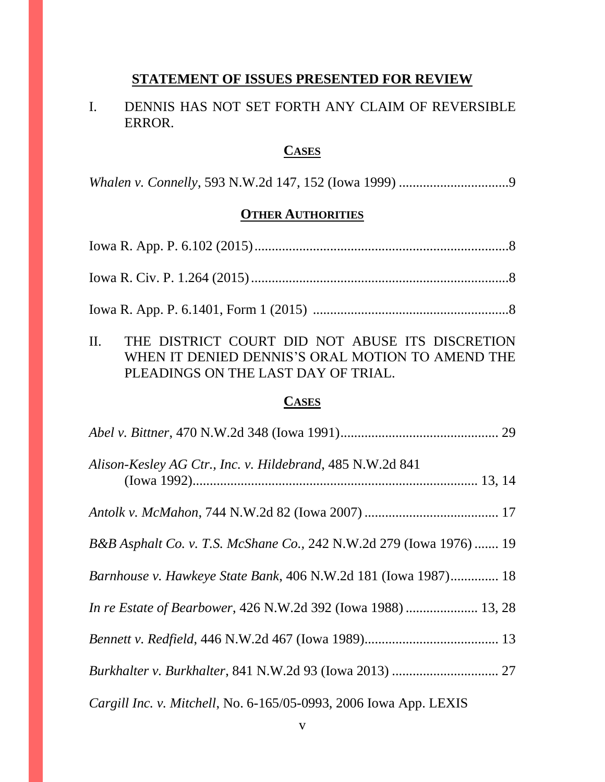### **STATEMENT OF ISSUES PRESENTED FOR REVIEW**

# I. DENNIS HAS NOT SET FORTH ANY CLAIM OF REVERSIBLE ERROR.

### **CASES**

*Whalen v. Connelly*, 593 N.W.2d 147, 152 (Iowa 1999) ................................9

## **OTHER AUTHORITIES**

II. THE DISTRICT COURT DID NOT ABUSE ITS DISCRETION WHEN IT DENIED DENNIS'S ORAL MOTION TO AMEND THE PLEADINGS ON THE LAST DAY OF TRIAL.

### **CASES**

| Alison-Kesley AG Ctr., Inc. v. Hildebrand, 485 N.W.2d 841           |  |
|---------------------------------------------------------------------|--|
|                                                                     |  |
| B&B Asphalt Co. v. T.S. McShane Co., 242 N.W.2d 279 (Iowa 1976)  19 |  |
| Barnhouse v. Hawkeye State Bank, 406 N.W.2d 181 (Iowa 1987) 18      |  |
| In re Estate of Bearbower, 426 N.W.2d 392 (Iowa 1988)  13, 28       |  |
|                                                                     |  |
|                                                                     |  |
| Cargill Inc. v. Mitchell, No. 6-165/05-0993, 2006 Iowa App. LEXIS   |  |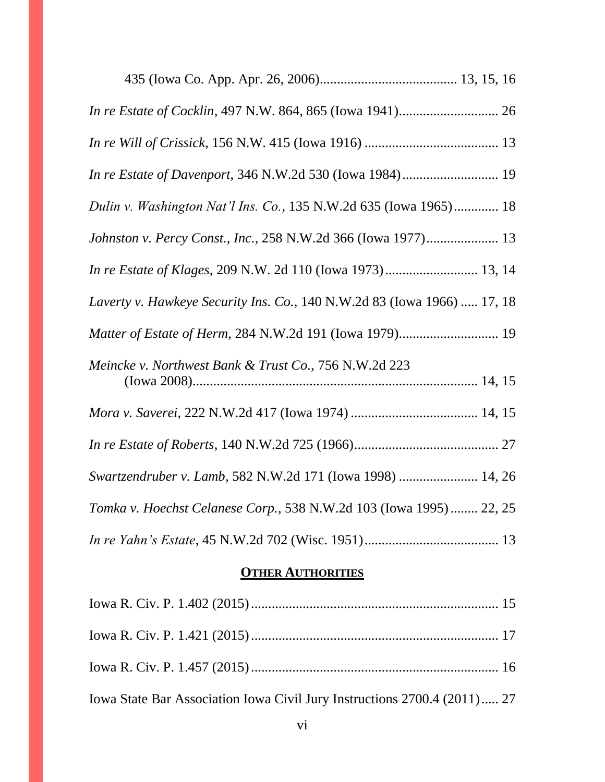| Dulin v. Washington Nat'l Ins. Co., 135 N.W.2d 635 (Iowa 1965) 18       |
|-------------------------------------------------------------------------|
| Johnston v. Percy Const., Inc., 258 N.W.2d 366 (Iowa 1977) 13           |
| In re Estate of Klages, 209 N.W. 2d 110 (Iowa 1973) 13, 14              |
| Laverty v. Hawkeye Security Ins. Co., 140 N.W.2d 83 (Iowa 1966)  17, 18 |
|                                                                         |
| Meincke v. Northwest Bank & Trust Co., 756 N.W.2d 223                   |
|                                                                         |
|                                                                         |
| Swartzendruber v. Lamb, 582 N.W.2d 171 (Iowa 1998)  14, 26              |
| Tomka v. Hoechst Celanese Corp., 538 N.W.2d 103 (Iowa 1995)  22, 25     |
|                                                                         |

# **OTHER AUTHORITIES**

| Iowa State Bar Association Iowa Civil Jury Instructions 2700.4 (2011) 27 |  |
|--------------------------------------------------------------------------|--|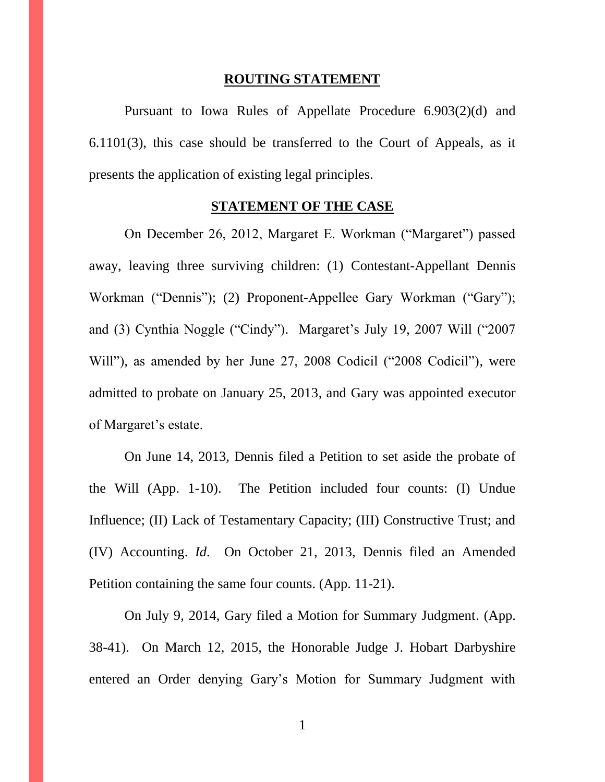#### **ROUTING STATEMENT**

Pursuant to Iowa Rules of Appellate Procedure 6.903(2)(d) and 6.1101(3), this case should be transferred to the Court of Appeals, as it presents the application of existing legal principles.

#### **STATEMENT OF THE CASE**

On December 26, 2012, Margaret E. Workman ("Margaret") passed away, leaving three surviving children: (1) Contestant-Appellant Dennis Workman ("Dennis"); (2) Proponent-Appellee Gary Workman ("Gary"); and (3) Cynthia Noggle ("Cindy"). Margaret's July 19, 2007 Will ("2007 Will"), as amended by her June 27, 2008 Codicil ("2008 Codicil"), were admitted to probate on January 25, 2013, and Gary was appointed executor of Margaret's estate.

On June 14, 2013, Dennis filed a Petition to set aside the probate of the Will (App. 1-10). The Petition included four counts: (I) Undue Influence; (II) Lack of Testamentary Capacity; (III) Constructive Trust; and (IV) Accounting. *Id*. On October 21, 2013, Dennis filed an Amended Petition containing the same four counts. (App. 11-21).

On July 9, 2014, Gary filed a Motion for Summary Judgment. (App. 38-41). On March 12, 2015, the Honorable Judge J. Hobart Darbyshire entered an Order denying Gary's Motion for Summary Judgment with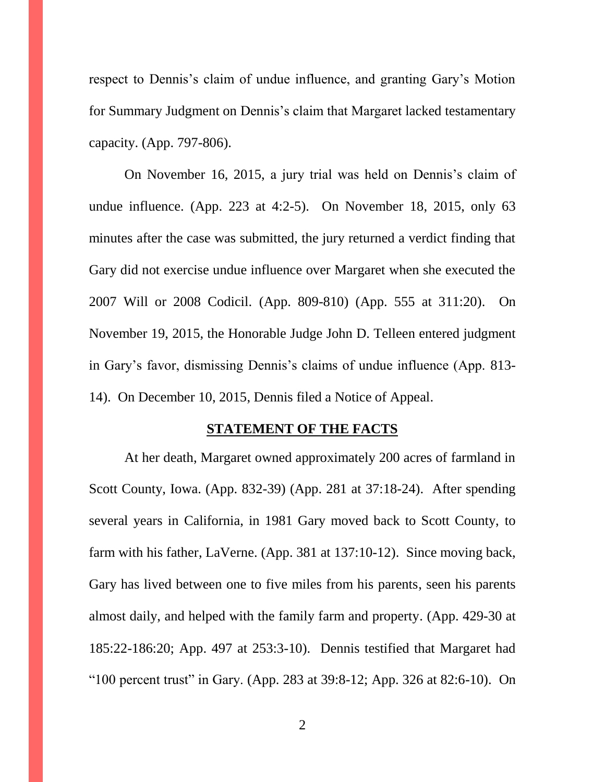respect to Dennis's claim of undue influence, and granting Gary's Motion for Summary Judgment on Dennis's claim that Margaret lacked testamentary capacity. (App. 797-806).

On November 16, 2015, a jury trial was held on Dennis's claim of undue influence. (App. 223 at 4:2-5). On November 18, 2015, only 63 minutes after the case was submitted, the jury returned a verdict finding that Gary did not exercise undue influence over Margaret when she executed the 2007 Will or 2008 Codicil. (App. 809-810) (App. 555 at 311:20). On November 19, 2015, the Honorable Judge John D. Telleen entered judgment in Gary's favor, dismissing Dennis's claims of undue influence (App. 813- 14). On December 10, 2015, Dennis filed a Notice of Appeal.

#### **STATEMENT OF THE FACTS**

At her death, Margaret owned approximately 200 acres of farmland in Scott County, Iowa. (App. 832-39) (App. 281 at 37:18-24). After spending several years in California, in 1981 Gary moved back to Scott County, to farm with his father, LaVerne. (App. 381 at 137:10-12). Since moving back, Gary has lived between one to five miles from his parents, seen his parents almost daily, and helped with the family farm and property. (App. 429-30 at 185:22-186:20; App. 497 at 253:3-10). Dennis testified that Margaret had "100 percent trust" in Gary. (App. 283 at 39:8-12; App. 326 at 82:6-10). On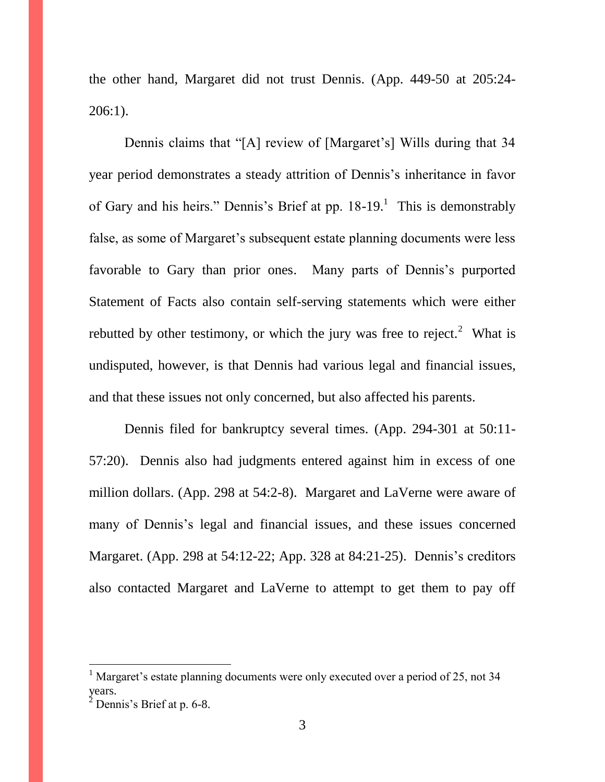the other hand, Margaret did not trust Dennis. (App. 449-50 at 205:24- 206:1).

Dennis claims that "[A] review of [Margaret's] Wills during that 34 year period demonstrates a steady attrition of Dennis's inheritance in favor of Gary and his heirs." Dennis's Brief at pp.  $18-19$ .<sup>1</sup> This is demonstrably false, as some of Margaret's subsequent estate planning documents were less favorable to Gary than prior ones. Many parts of Dennis's purported Statement of Facts also contain self-serving statements which were either rebutted by other testimony, or which the jury was free to reject.<sup>2</sup> What is undisputed, however, is that Dennis had various legal and financial issues, and that these issues not only concerned, but also affected his parents.

Dennis filed for bankruptcy several times. (App. 294-301 at 50:11- 57:20). Dennis also had judgments entered against him in excess of one million dollars. (App. 298 at 54:2-8). Margaret and LaVerne were aware of many of Dennis's legal and financial issues, and these issues concerned Margaret. (App. 298 at 54:12-22; App. 328 at 84:21-25). Dennis's creditors also contacted Margaret and LaVerne to attempt to get them to pay off

 $\overline{a}$ 

 $<sup>1</sup>$  Margaret's estate planning documents were only executed over a period of 25, not 34</sup> years.

 $<sup>2</sup>$  Dennis's Brief at p. 6-8.</sup>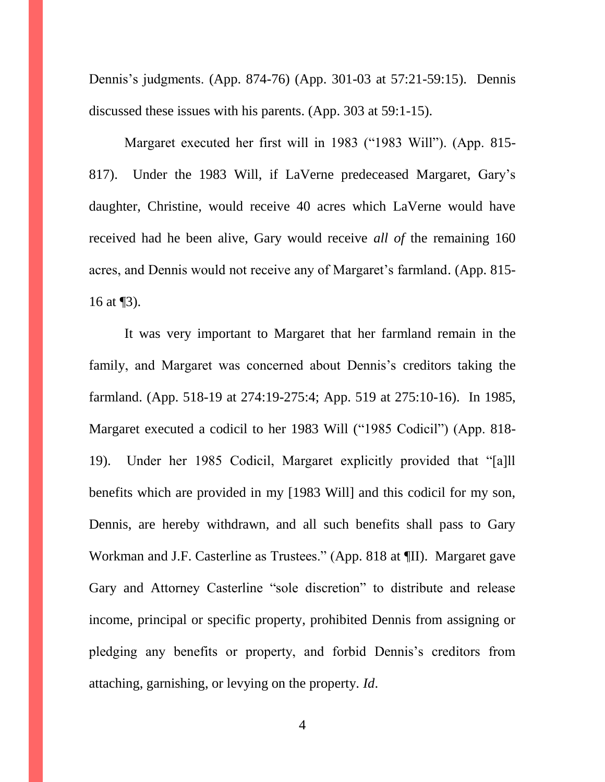Dennis's judgments. (App. 874-76) (App. 301-03 at 57:21-59:15). Dennis discussed these issues with his parents. (App. 303 at 59:1-15).

Margaret executed her first will in 1983 ("1983 Will"). (App. 815- 817). Under the 1983 Will, if LaVerne predeceased Margaret, Gary's daughter, Christine, would receive 40 acres which LaVerne would have received had he been alive, Gary would receive *all of* the remaining 160 acres, and Dennis would not receive any of Margaret's farmland. (App. 815- 16 at  $\P$ 3).

It was very important to Margaret that her farmland remain in the family, and Margaret was concerned about Dennis's creditors taking the farmland. (App. 518-19 at 274:19-275:4; App. 519 at 275:10-16). In 1985, Margaret executed a codicil to her 1983 Will ("1985 Codicil") (App. 818- 19). Under her 1985 Codicil, Margaret explicitly provided that "[a]ll benefits which are provided in my [1983 Will] and this codicil for my son, Dennis, are hereby withdrawn, and all such benefits shall pass to Gary Workman and J.F. Casterline as Trustees." (App. 818 at ¶II). Margaret gave Gary and Attorney Casterline "sole discretion" to distribute and release income, principal or specific property, prohibited Dennis from assigning or pledging any benefits or property, and forbid Dennis's creditors from attaching, garnishing, or levying on the property. *Id*.

4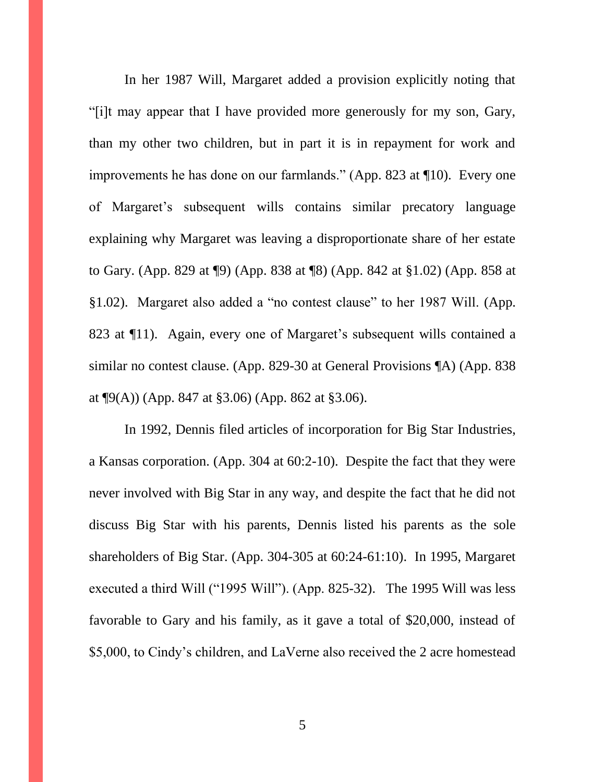In her 1987 Will, Margaret added a provision explicitly noting that "[i]t may appear that I have provided more generously for my son, Gary, than my other two children, but in part it is in repayment for work and improvements he has done on our farmlands." (App. 823 at ¶10). Every one of Margaret's subsequent wills contains similar precatory language explaining why Margaret was leaving a disproportionate share of her estate to Gary. (App. 829 at ¶9) (App. 838 at ¶8) (App. 842 at §1.02) (App. 858 at §1.02). Margaret also added a "no contest clause" to her 1987 Will. (App. 823 at ¶11). Again, every one of Margaret's subsequent wills contained a similar no contest clause. (App. 829-30 at General Provisions ¶A) (App. 838 at  $\P9(A)$  (App. 847 at §3.06) (App. 862 at §3.06).

In 1992, Dennis filed articles of incorporation for Big Star Industries, a Kansas corporation. (App. 304 at 60:2-10). Despite the fact that they were never involved with Big Star in any way, and despite the fact that he did not discuss Big Star with his parents, Dennis listed his parents as the sole shareholders of Big Star. (App. 304-305 at 60:24-61:10). In 1995, Margaret executed a third Will ("1995 Will"). (App. 825-32). The 1995 Will was less favorable to Gary and his family, as it gave a total of \$20,000, instead of \$5,000, to Cindy's children, and LaVerne also received the 2 acre homestead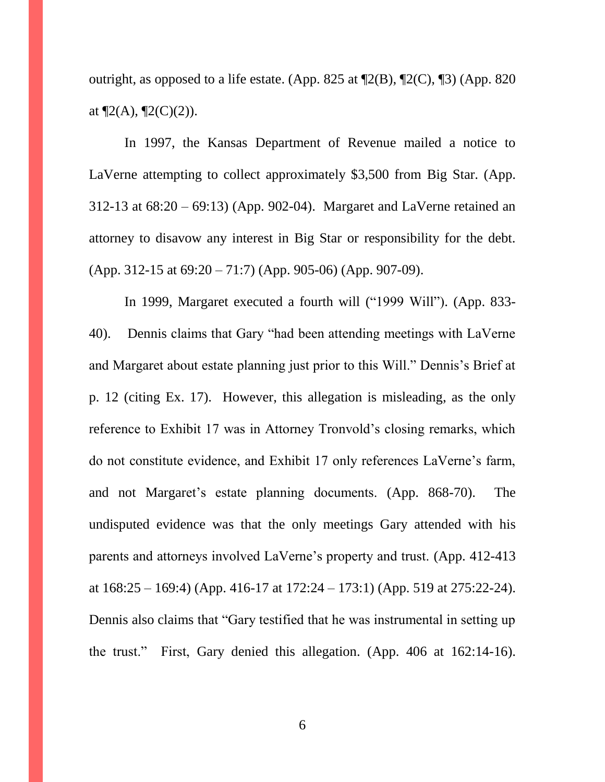outright, as opposed to a life estate. (App. 825 at  $\mathbb{Z}(B)$ ,  $\mathbb{Z}(C)$ ,  $\mathbb{Z}(S)$ ) (App. 820 at  $\P2(A)$ ,  $\P2(C)(2)$ ).

In 1997, the Kansas Department of Revenue mailed a notice to LaVerne attempting to collect approximately \$3,500 from Big Star. (App. 312-13 at 68:20 – 69:13) (App. 902-04). Margaret and LaVerne retained an attorney to disavow any interest in Big Star or responsibility for the debt. (App. 312-15 at 69:20 – 71:7) (App. 905-06) (App. 907-09).

In 1999, Margaret executed a fourth will ("1999 Will"). (App. 833- 40). Dennis claims that Gary "had been attending meetings with LaVerne and Margaret about estate planning just prior to this Will." Dennis's Brief at p. 12 (citing Ex. 17). However, this allegation is misleading, as the only reference to Exhibit 17 was in Attorney Tronvold's closing remarks, which do not constitute evidence, and Exhibit 17 only references LaVerne's farm, and not Margaret's estate planning documents. (App. 868-70). The undisputed evidence was that the only meetings Gary attended with his parents and attorneys involved LaVerne's property and trust. (App. 412-413 at  $168:25 - 169:4$  (App. 416-17 at  $172:24 - 173:1$ ) (App. 519 at  $275:22-24$ ). Dennis also claims that "Gary testified that he was instrumental in setting up the trust." First, Gary denied this allegation. (App. 406 at 162:14-16).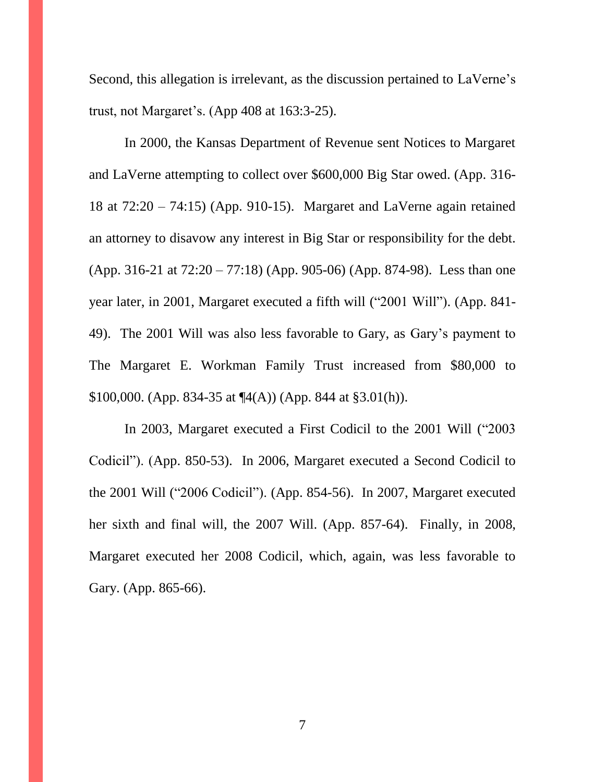Second, this allegation is irrelevant, as the discussion pertained to LaVerne's trust, not Margaret's. (App 408 at 163:3-25).

In 2000, the Kansas Department of Revenue sent Notices to Margaret and LaVerne attempting to collect over \$600,000 Big Star owed. (App. 316- 18 at 72:20 – 74:15) (App. 910-15). Margaret and LaVerne again retained an attorney to disavow any interest in Big Star or responsibility for the debt. (App. 316-21 at 72:20 – 77:18) (App. 905-06) (App. 874-98). Less than one year later, in 2001, Margaret executed a fifth will ("2001 Will"). (App. 841- 49). The 2001 Will was also less favorable to Gary, as Gary's payment to The Margaret E. Workman Family Trust increased from \$80,000 to \$100,000. (App. 834-35 at  $\P(4(A))$  (App. 844 at §3.01(h)).

In 2003, Margaret executed a First Codicil to the 2001 Will ("2003 Codicil"). (App. 850-53). In 2006, Margaret executed a Second Codicil to the 2001 Will ("2006 Codicil"). (App. 854-56). In 2007, Margaret executed her sixth and final will, the 2007 Will. (App. 857-64). Finally, in 2008, Margaret executed her 2008 Codicil, which, again, was less favorable to Gary. (App. 865-66).

7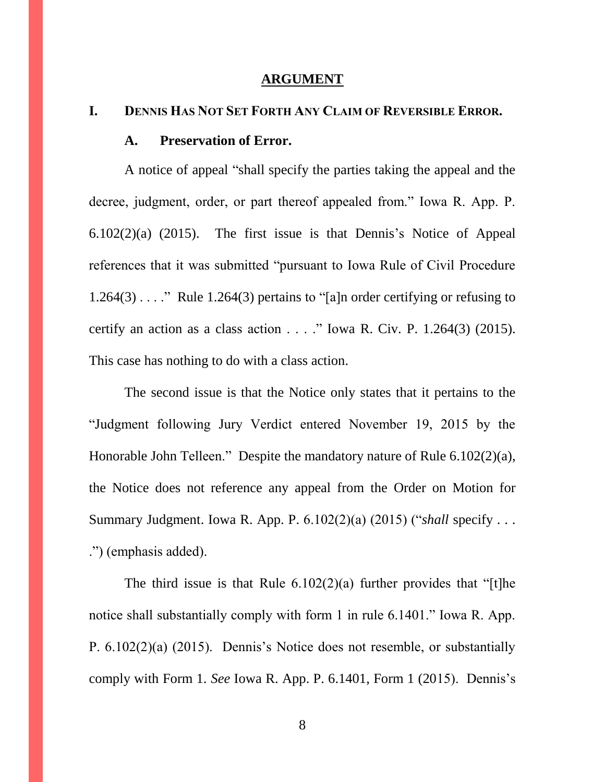#### **ARGUMENT**

### **I. DENNIS HAS NOT SET FORTH ANY CLAIM OF REVERSIBLE ERROR.**

#### **A. Preservation of Error.**

A notice of appeal "shall specify the parties taking the appeal and the decree, judgment, order, or part thereof appealed from." Iowa R. App. P. 6.102(2)(a) (2015). The first issue is that Dennis's Notice of Appeal references that it was submitted "pursuant to Iowa Rule of Civil Procedure  $1.264(3)$ ...." Rule 1.264(3) pertains to "[a]n order certifying or refusing to certify an action as a class action  $\ldots$  ." Iowa R. Civ. P. 1.264(3) (2015). This case has nothing to do with a class action.

The second issue is that the Notice only states that it pertains to the "Judgment following Jury Verdict entered November 19, 2015 by the Honorable John Telleen." Despite the mandatory nature of Rule 6.102(2)(a), the Notice does not reference any appeal from the Order on Motion for Summary Judgment. Iowa R. App. P. 6.102(2)(a) (2015) ("*shall* specify . . . .") (emphasis added).

The third issue is that Rule  $6.102(2)(a)$  further provides that "[t]he notice shall substantially comply with form 1 in rule 6.1401." Iowa R. App. P. 6.102(2)(a) (2015). Dennis's Notice does not resemble, or substantially comply with Form 1. *See* Iowa R. App. P. 6.1401, Form 1 (2015). Dennis's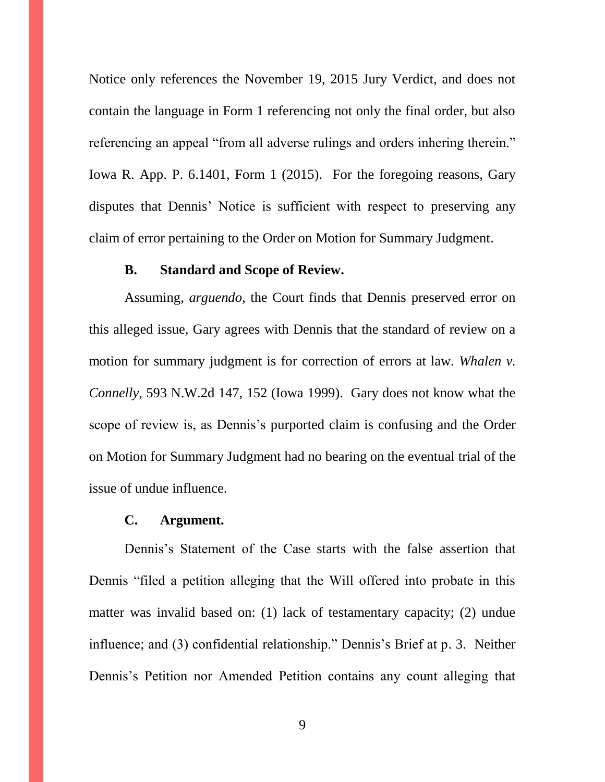Notice only references the November 19, 2015 Jury Verdict, and does not contain the language in Form 1 referencing not only the final order, but also referencing an appeal "from all adverse rulings and orders inhering therein." Iowa R. App. P. 6.1401, Form 1 (2015). For the foregoing reasons, Gary disputes that Dennis' Notice is sufficient with respect to preserving any claim of error pertaining to the Order on Motion for Summary Judgment.

#### **B. Standard and Scope of Review.**

Assuming, *arguendo*, the Court finds that Dennis preserved error on this alleged issue, Gary agrees with Dennis that the standard of review on a motion for summary judgment is for correction of errors at law. *Whalen v. Connelly*, 593 N.W.2d 147, 152 (Iowa 1999). Gary does not know what the scope of review is, as Dennis's purported claim is confusing and the Order on Motion for Summary Judgment had no bearing on the eventual trial of the issue of undue influence.

#### **C. Argument.**

Dennis's Statement of the Case starts with the false assertion that Dennis "filed a petition alleging that the Will offered into probate in this matter was invalid based on: (1) lack of testamentary capacity; (2) undue influence; and (3) confidential relationship." Dennis's Brief at p. 3. Neither Dennis's Petition nor Amended Petition contains any count alleging that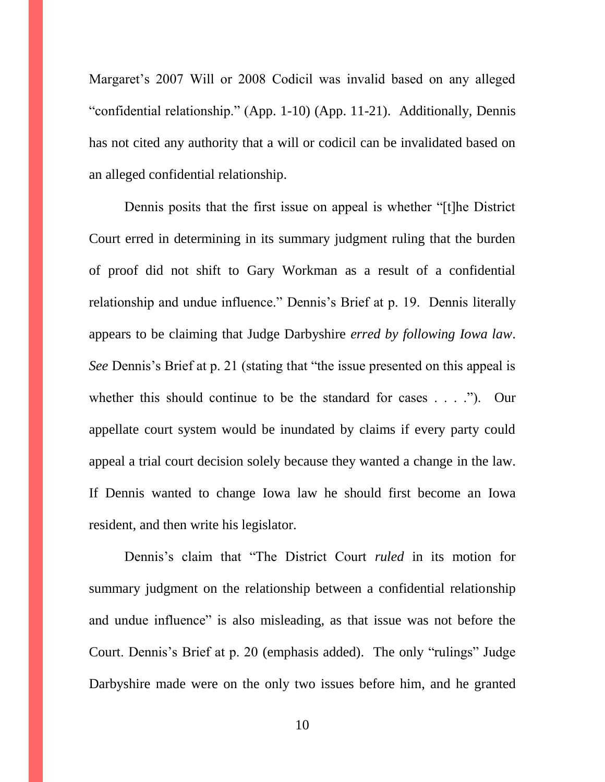Margaret's 2007 Will or 2008 Codicil was invalid based on any alleged "confidential relationship." (App. 1-10) (App. 11-21). Additionally, Dennis has not cited any authority that a will or codicil can be invalidated based on an alleged confidential relationship.

Dennis posits that the first issue on appeal is whether "[t]he District Court erred in determining in its summary judgment ruling that the burden of proof did not shift to Gary Workman as a result of a confidential relationship and undue influence." Dennis's Brief at p. 19. Dennis literally appears to be claiming that Judge Darbyshire *erred by following Iowa law*. *See* Dennis's Brief at p. 21 (stating that "the issue presented on this appeal is whether this should continue to be the standard for cases . . . ."). Our appellate court system would be inundated by claims if every party could appeal a trial court decision solely because they wanted a change in the law. If Dennis wanted to change Iowa law he should first become an Iowa resident, and then write his legislator.

Dennis's claim that "The District Court *ruled* in its motion for summary judgment on the relationship between a confidential relationship and undue influence" is also misleading, as that issue was not before the Court. Dennis's Brief at p. 20 (emphasis added). The only "rulings" Judge Darbyshire made were on the only two issues before him, and he granted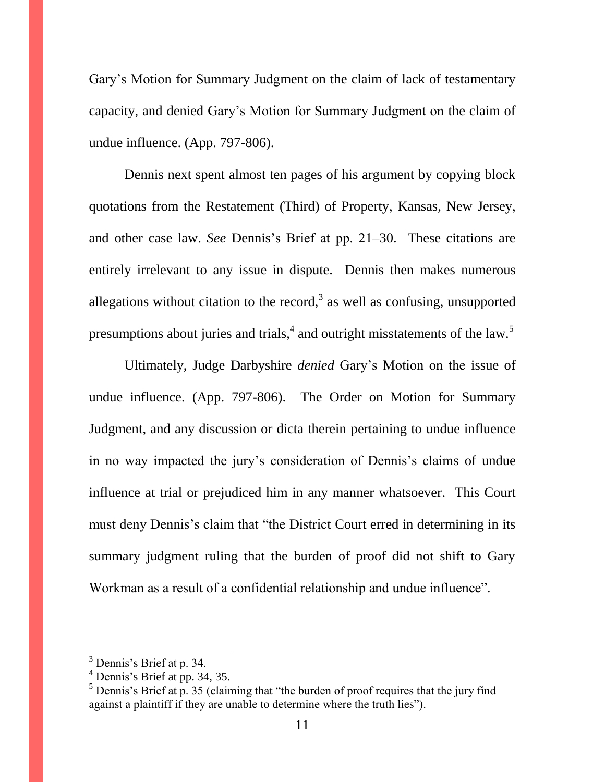Gary's Motion for Summary Judgment on the claim of lack of testamentary capacity, and denied Gary's Motion for Summary Judgment on the claim of undue influence. (App. 797-806).

Dennis next spent almost ten pages of his argument by copying block quotations from the Restatement (Third) of Property, Kansas, New Jersey, and other case law. *See* Dennis's Brief at pp. 21–30. These citations are entirely irrelevant to any issue in dispute. Dennis then makes numerous allegations without citation to the record,<sup>3</sup> as well as confusing, unsupported presumptions about juries and trials,  $4$  and outright misstatements of the law.<sup>5</sup>

Ultimately, Judge Darbyshire *denied* Gary's Motion on the issue of undue influence. (App. 797-806). The Order on Motion for Summary Judgment, and any discussion or dicta therein pertaining to undue influence in no way impacted the jury's consideration of Dennis's claims of undue influence at trial or prejudiced him in any manner whatsoever. This Court must deny Dennis's claim that "the District Court erred in determining in its summary judgment ruling that the burden of proof did not shift to Gary Workman as a result of a confidential relationship and undue influence".

 $\overline{a}$ 

 $3$  Dennis's Brief at p. 34.

 $<sup>4</sup>$  Dennis's Brief at pp. 34, 35.</sup>

 $5$  Dennis's Brief at p. 35 (claiming that "the burden of proof requires that the jury find against a plaintiff if they are unable to determine where the truth lies").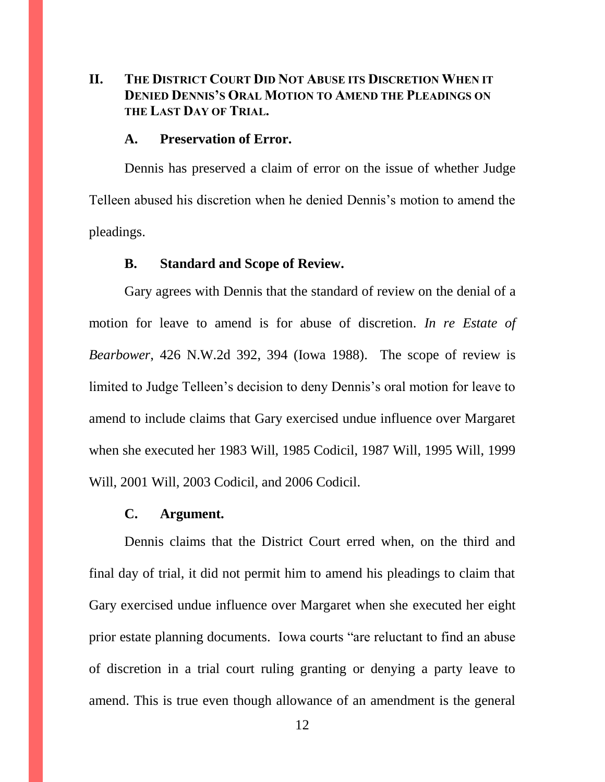# **II. THE DISTRICT COURT DID NOT ABUSE ITS DISCRETION WHEN IT DENIED DENNIS'S ORAL MOTION TO AMEND THE PLEADINGS ON THE LAST DAY OF TRIAL.**

#### **A. Preservation of Error.**

Dennis has preserved a claim of error on the issue of whether Judge Telleen abused his discretion when he denied Dennis's motion to amend the pleadings.

#### **B. Standard and Scope of Review.**

Gary agrees with Dennis that the standard of review on the denial of a motion for leave to amend is for abuse of discretion. *In re Estate of Bearbower*, 426 N.W.2d 392, 394 (Iowa 1988). The scope of review is limited to Judge Telleen's decision to deny Dennis's oral motion for leave to amend to include claims that Gary exercised undue influence over Margaret when she executed her 1983 Will, 1985 Codicil, 1987 Will, 1995 Will, 1999 Will, 2001 Will, 2003 Codicil, and 2006 Codicil.

#### **C. Argument.**

Dennis claims that the District Court erred when, on the third and final day of trial, it did not permit him to amend his pleadings to claim that Gary exercised undue influence over Margaret when she executed her eight prior estate planning documents. Iowa courts "are reluctant to find an abuse of discretion in a trial court ruling granting or denying a party leave to amend. This is true even though allowance of an amendment is the general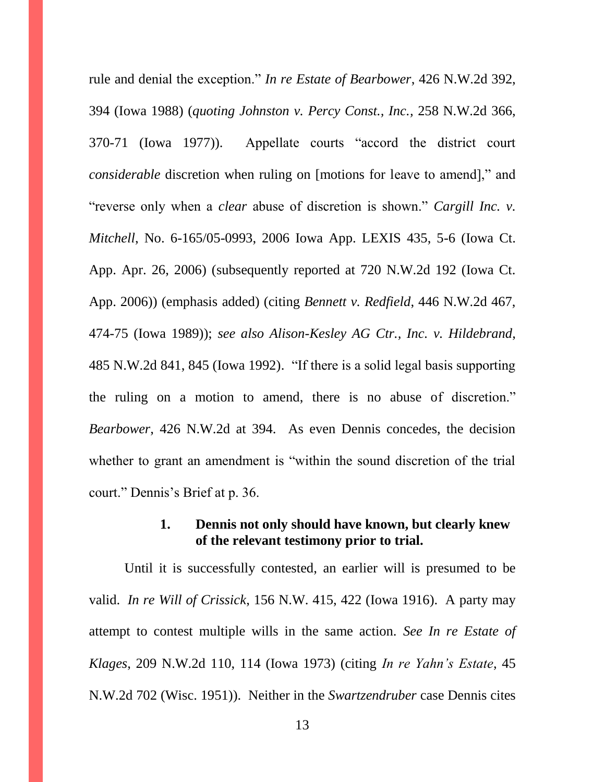rule and denial the exception." *In re Estate of Bearbower*, 426 N.W.2d 392, 394 (Iowa 1988) (*quoting Johnston v. Percy Const., Inc.,* 258 N.W.2d 366, 370-71 (Iowa 1977)). Appellate courts "accord the district court *considerable* discretion when ruling on [motions for leave to amend]," and "reverse only when a *clear* abuse of discretion is shown." *Cargill Inc. v. Mitchell*, No. 6-165/05-0993, 2006 Iowa App. LEXIS 435, 5-6 (Iowa Ct. App. Apr. 26, 2006) (subsequently reported at 720 N.W.2d 192 (Iowa Ct. App. 2006)) (emphasis added) (citing *Bennett v. Redfield*, 446 N.W.2d 467, 474-75 (Iowa 1989)); *see also Alison-Kesley AG Ctr., Inc. v. Hildebrand*, 485 N.W.2d 841, 845 (Iowa 1992). "If there is a solid legal basis supporting the ruling on a motion to amend, there is no abuse of discretion." *Bearbower*, 426 N.W.2d at 394. As even Dennis concedes, the decision whether to grant an amendment is "within the sound discretion of the trial court." Dennis's Brief at p. 36.

# **1. Dennis not only should have known, but clearly knew of the relevant testimony prior to trial.**

Until it is successfully contested, an earlier will is presumed to be valid. *In re Will of Crissick*, 156 N.W. 415, 422 (Iowa 1916). A party may attempt to contest multiple wills in the same action. *See In re Estate of Klages*, 209 N.W.2d 110, 114 (Iowa 1973) (citing *In re Yahn's Estate*, 45 N.W.2d 702 (Wisc. 1951)). Neither in the *Swartzendruber* case Dennis cites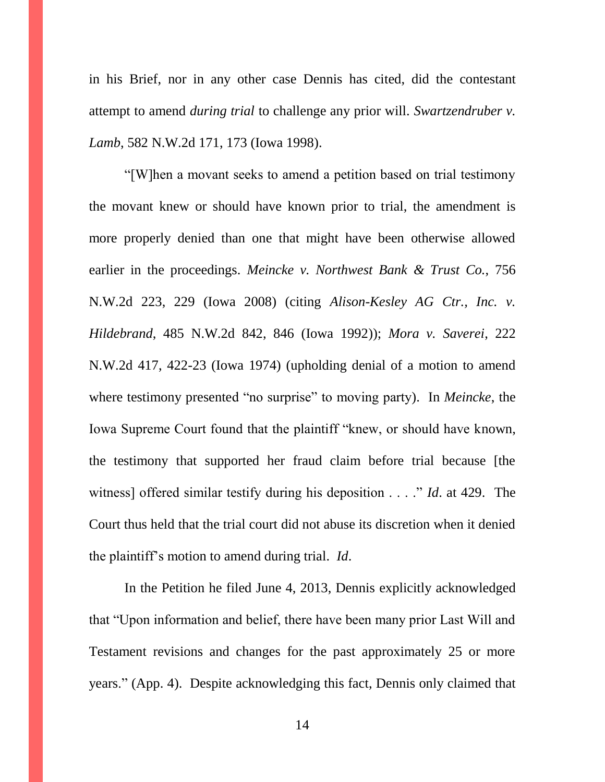in his Brief, nor in any other case Dennis has cited, did the contestant attempt to amend *during trial* to challenge any prior will. *Swartzendruber v. Lamb*, 582 N.W.2d 171, 173 (Iowa 1998).

"[W]hen a movant seeks to amend a petition based on trial testimony the movant knew or should have known prior to trial, the amendment is more properly denied than one that might have been otherwise allowed earlier in the proceedings. *Meincke v. Northwest Bank & Trust Co.*, 756 N.W.2d 223, 229 (Iowa 2008) (citing *Alison-Kesley AG Ctr., Inc. v. Hildebrand*, 485 N.W.2d 842, 846 (Iowa 1992)); *Mora v. Saverei*, 222 N.W.2d 417, 422-23 (Iowa 1974) (upholding denial of a motion to amend where testimony presented "no surprise" to moving party). In *Meincke*, the Iowa Supreme Court found that the plaintiff "knew, or should have known, the testimony that supported her fraud claim before trial because [the witness] offered similar testify during his deposition . . . ." *Id*. at 429. The Court thus held that the trial court did not abuse its discretion when it denied the plaintiff's motion to amend during trial. *Id*.

In the Petition he filed June 4, 2013, Dennis explicitly acknowledged that "Upon information and belief, there have been many prior Last Will and Testament revisions and changes for the past approximately 25 or more years." (App. 4). Despite acknowledging this fact, Dennis only claimed that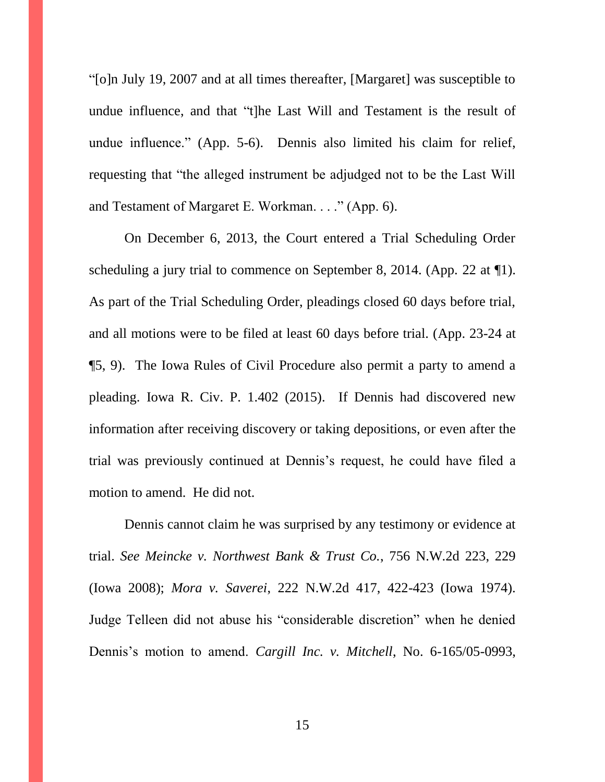"[o]n July 19, 2007 and at all times thereafter, [Margaret] was susceptible to undue influence, and that "t]he Last Will and Testament is the result of undue influence." (App. 5-6). Dennis also limited his claim for relief, requesting that "the alleged instrument be adjudged not to be the Last Will and Testament of Margaret E. Workman. . . ." (App. 6).

On December 6, 2013, the Court entered a Trial Scheduling Order scheduling a jury trial to commence on September 8, 2014. (App. 22 at 1.). As part of the Trial Scheduling Order, pleadings closed 60 days before trial, and all motions were to be filed at least 60 days before trial. (App. 23-24 at ¶5, 9). The Iowa Rules of Civil Procedure also permit a party to amend a pleading. Iowa R. Civ. P. 1.402 (2015). If Dennis had discovered new information after receiving discovery or taking depositions, or even after the trial was previously continued at Dennis's request, he could have filed a motion to amend. He did not.

Dennis cannot claim he was surprised by any testimony or evidence at trial. *See Meincke v. Northwest Bank & Trust Co.*, 756 N.W.2d 223, 229 (Iowa 2008); *Mora v. Saverei*, 222 N.W.2d 417, 422-423 (Iowa 1974). Judge Telleen did not abuse his "considerable discretion" when he denied Dennis's motion to amend. *Cargill Inc. v. Mitchell*, No. 6-165/05-0993,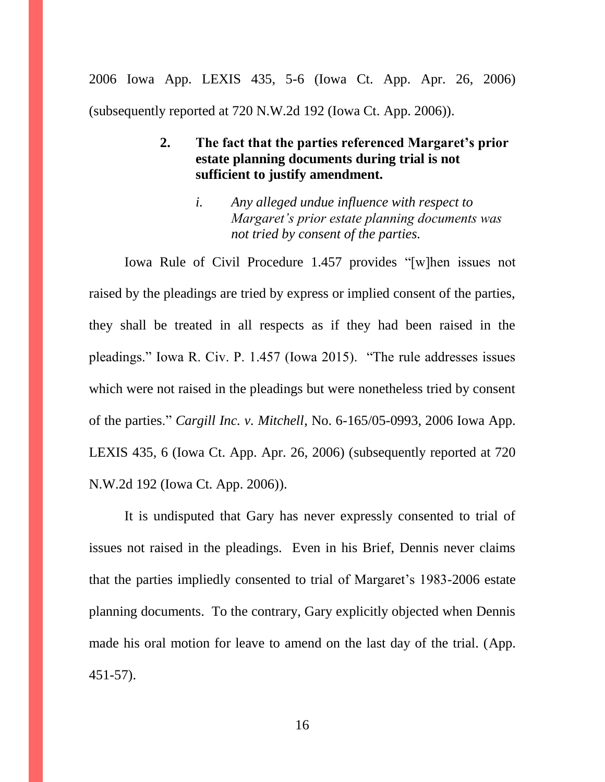2006 Iowa App. LEXIS 435, 5-6 (Iowa Ct. App. Apr. 26, 2006) (subsequently reported at 720 N.W.2d 192 (Iowa Ct. App. 2006)).

# **2. The fact that the parties referenced Margaret's prior estate planning documents during trial is not sufficient to justify amendment.**

*i. Any alleged undue influence with respect to Margaret's prior estate planning documents was not tried by consent of the parties.* 

Iowa Rule of Civil Procedure 1.457 provides "[w]hen issues not raised by the pleadings are tried by express or implied consent of the parties, they shall be treated in all respects as if they had been raised in the pleadings." Iowa R. Civ. P. 1.457 (Iowa 2015). "The rule addresses issues which were not raised in the pleadings but were nonetheless tried by consent of the parties." *Cargill Inc. v. Mitchell*, No. 6-165/05-0993, 2006 Iowa App. LEXIS 435, 6 (Iowa Ct. App. Apr. 26, 2006) (subsequently reported at 720 N.W.2d 192 (Iowa Ct. App. 2006)).

It is undisputed that Gary has never expressly consented to trial of issues not raised in the pleadings. Even in his Brief, Dennis never claims that the parties impliedly consented to trial of Margaret's 1983-2006 estate planning documents. To the contrary, Gary explicitly objected when Dennis made his oral motion for leave to amend on the last day of the trial. (App. 451-57).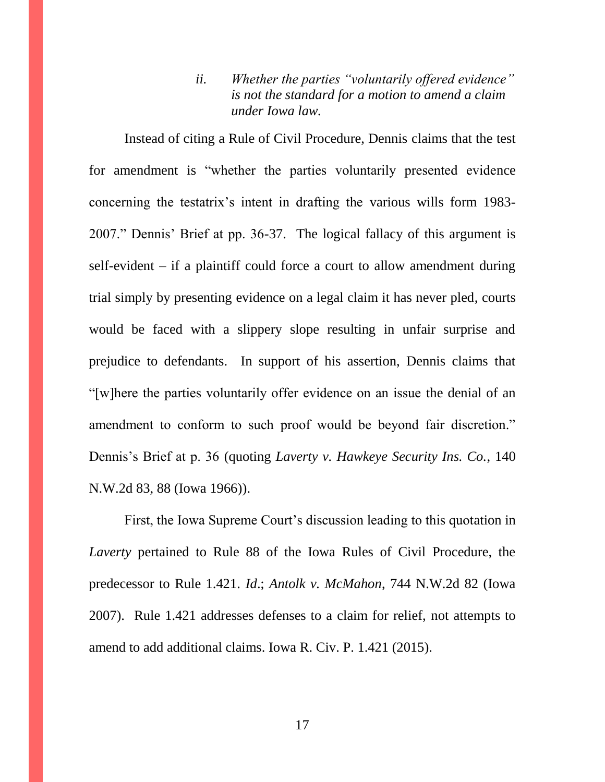*ii. Whether the parties "voluntarily offered evidence" is not the standard for a motion to amend a claim under Iowa law.*

Instead of citing a Rule of Civil Procedure, Dennis claims that the test for amendment is "whether the parties voluntarily presented evidence concerning the testatrix's intent in drafting the various wills form 1983- 2007." Dennis' Brief at pp. 36-37. The logical fallacy of this argument is self-evident – if a plaintiff could force a court to allow amendment during trial simply by presenting evidence on a legal claim it has never pled, courts would be faced with a slippery slope resulting in unfair surprise and prejudice to defendants. In support of his assertion, Dennis claims that "[w]here the parties voluntarily offer evidence on an issue the denial of an amendment to conform to such proof would be beyond fair discretion." Dennis's Brief at p. 36 (quoting *Laverty v. Hawkeye Security Ins. Co.*, 140 N.W.2d 83, 88 (Iowa 1966)).

First, the Iowa Supreme Court's discussion leading to this quotation in *Laverty* pertained to Rule 88 of the Iowa Rules of Civil Procedure, the predecessor to Rule 1.421. *Id*.; *Antolk v. McMahon*, 744 N.W.2d 82 (Iowa 2007). Rule 1.421 addresses defenses to a claim for relief, not attempts to amend to add additional claims. Iowa R. Civ. P. 1.421 (2015).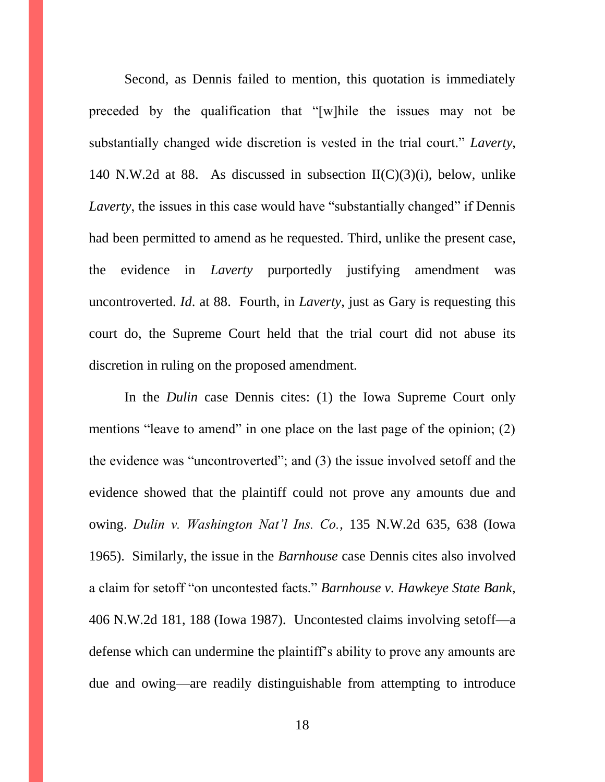Second, as Dennis failed to mention, this quotation is immediately preceded by the qualification that "[w]hile the issues may not be substantially changed wide discretion is vested in the trial court." *Laverty*, 140 N.W.2d at 88. As discussed in subsection  $II(C)(3)(i)$ , below, unlike *Laverty*, the issues in this case would have "substantially changed" if Dennis had been permitted to amend as he requested. Third, unlike the present case, the evidence in *Laverty* purportedly justifying amendment was uncontroverted. *Id*. at 88. Fourth, in *Laverty*, just as Gary is requesting this court do, the Supreme Court held that the trial court did not abuse its discretion in ruling on the proposed amendment.

In the *Dulin* case Dennis cites: (1) the Iowa Supreme Court only mentions "leave to amend" in one place on the last page of the opinion; (2) the evidence was "uncontroverted"; and (3) the issue involved setoff and the evidence showed that the plaintiff could not prove any amounts due and owing. *Dulin v. Washington Nat'l Ins. Co.*, 135 N.W.2d 635, 638 (Iowa 1965). Similarly, the issue in the *Barnhouse* case Dennis cites also involved a claim for setoff "on uncontested facts." *Barnhouse v. Hawkeye State Bank*, 406 N.W.2d 181, 188 (Iowa 1987). Uncontested claims involving setoff—a defense which can undermine the plaintiff's ability to prove any amounts are due and owing—are readily distinguishable from attempting to introduce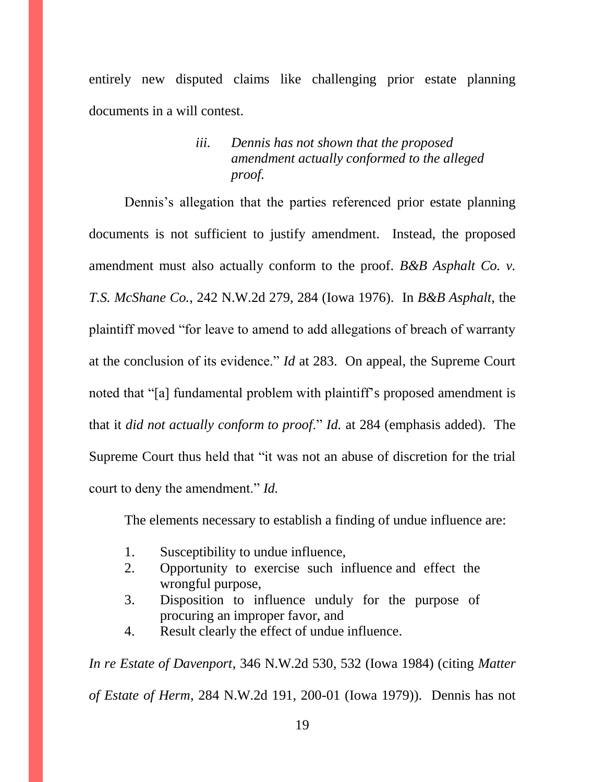entirely new disputed claims like challenging prior estate planning documents in a will contest.

# *iii. Dennis has not shown that the proposed amendment actually conformed to the alleged proof.*

Dennis's allegation that the parties referenced prior estate planning documents is not sufficient to justify amendment. Instead, the proposed amendment must also actually conform to the proof. *B&B Asphalt Co. v. T.S. McShane Co.*, 242 N.W.2d 279, 284 (Iowa 1976). In *B&B Asphalt*, the plaintiff moved "for leave to amend to add allegations of breach of warranty at the conclusion of its evidence." *Id* at 283. On appeal, the Supreme Court noted that "[a] fundamental problem with plaintiff's proposed amendment is that it *did not actually conform to proof*." *Id.* at 284 (emphasis added). The Supreme Court thus held that "it was not an abuse of discretion for the trial court to deny the amendment." *Id.*

The elements necessary to establish a finding of undue influence are:

- 1. Susceptibility to undue influence,
- 2. Opportunity to exercise such influence and effect the wrongful purpose,
- 3. Disposition to influence unduly for the purpose of procuring an improper favor, and
- 4. Result clearly the effect of undue influence.

*In re Estate of Davenport*, 346 N.W.2d 530, 532 (Iowa 1984) (citing *Matter of Estate of Herm*, 284 N.W.2d 191, 200-01 (Iowa 1979)). Dennis has not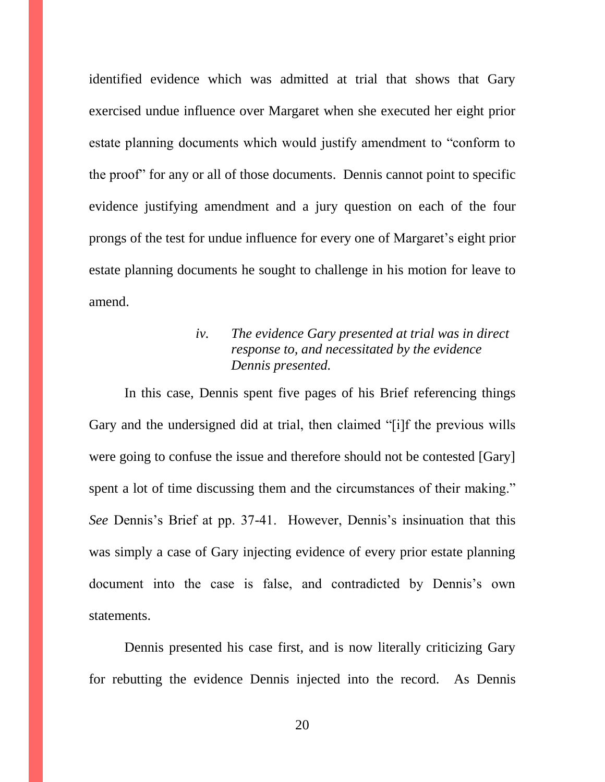identified evidence which was admitted at trial that shows that Gary exercised undue influence over Margaret when she executed her eight prior estate planning documents which would justify amendment to "conform to the proof" for any or all of those documents. Dennis cannot point to specific evidence justifying amendment and a jury question on each of the four prongs of the test for undue influence for every one of Margaret's eight prior estate planning documents he sought to challenge in his motion for leave to amend.

# *iv. The evidence Gary presented at trial was in direct response to, and necessitated by the evidence Dennis presented.*

In this case, Dennis spent five pages of his Brief referencing things Gary and the undersigned did at trial, then claimed "[i]f the previous wills were going to confuse the issue and therefore should not be contested [Gary] spent a lot of time discussing them and the circumstances of their making." *See* Dennis's Brief at pp. 37-41. However, Dennis's insinuation that this was simply a case of Gary injecting evidence of every prior estate planning document into the case is false, and contradicted by Dennis's own statements.

Dennis presented his case first, and is now literally criticizing Gary for rebutting the evidence Dennis injected into the record. As Dennis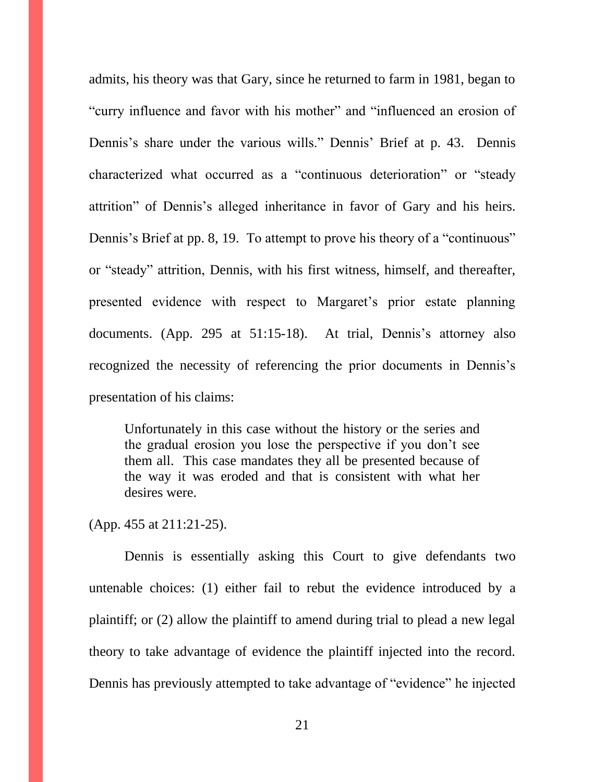admits, his theory was that Gary, since he returned to farm in 1981, began to "curry influence and favor with his mother" and "influenced an erosion of Dennis's share under the various wills." Dennis' Brief at p. 43. Dennis characterized what occurred as a "continuous deterioration" or "steady attrition" of Dennis's alleged inheritance in favor of Gary and his heirs. Dennis's Brief at pp. 8, 19. To attempt to prove his theory of a "continuous" or "steady" attrition, Dennis, with his first witness, himself, and thereafter, presented evidence with respect to Margaret's prior estate planning documents. (App. 295 at 51:15-18). At trial, Dennis's attorney also recognized the necessity of referencing the prior documents in Dennis's presentation of his claims:

Unfortunately in this case without the history or the series and the gradual erosion you lose the perspective if you don't see them all. This case mandates they all be presented because of the way it was eroded and that is consistent with what her desires were.

(App. 455 at 211:21-25).

Dennis is essentially asking this Court to give defendants two untenable choices: (1) either fail to rebut the evidence introduced by a plaintiff; or (2) allow the plaintiff to amend during trial to plead a new legal theory to take advantage of evidence the plaintiff injected into the record. Dennis has previously attempted to take advantage of "evidence" he injected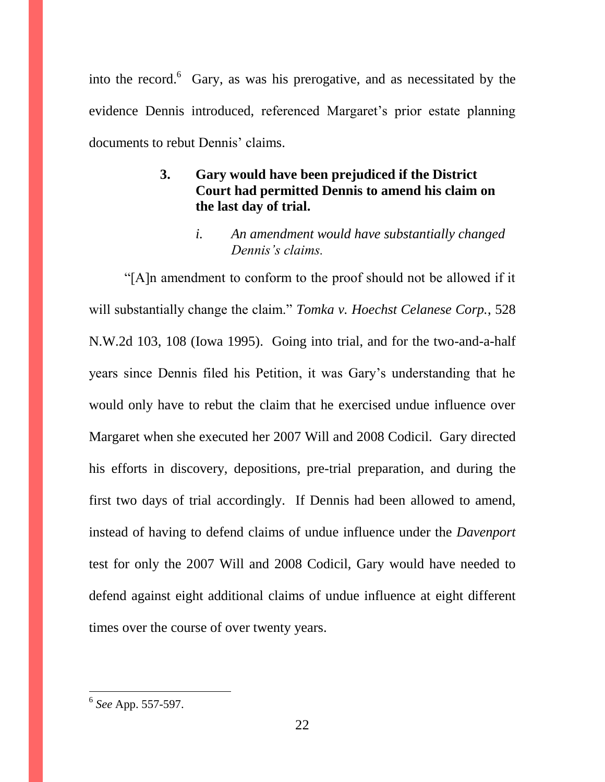into the record. $6$  Gary, as was his prerogative, and as necessitated by the evidence Dennis introduced, referenced Margaret's prior estate planning documents to rebut Dennis' claims.

# **3. Gary would have been prejudiced if the District Court had permitted Dennis to amend his claim on the last day of trial.**

*i. An amendment would have substantially changed Dennis's claims.*

"[A]n amendment to conform to the proof should not be allowed if it will substantially change the claim." *Tomka v. Hoechst Celanese Corp.*, 528 N.W.2d 103, 108 (Iowa 1995). Going into trial, and for the two-and-a-half years since Dennis filed his Petition, it was Gary's understanding that he would only have to rebut the claim that he exercised undue influence over Margaret when she executed her 2007 Will and 2008 Codicil. Gary directed his efforts in discovery, depositions, pre-trial preparation, and during the first two days of trial accordingly. If Dennis had been allowed to amend, instead of having to defend claims of undue influence under the *Davenport*  test for only the 2007 Will and 2008 Codicil, Gary would have needed to defend against eight additional claims of undue influence at eight different times over the course of over twenty years.

 6 *See* App. 557-597.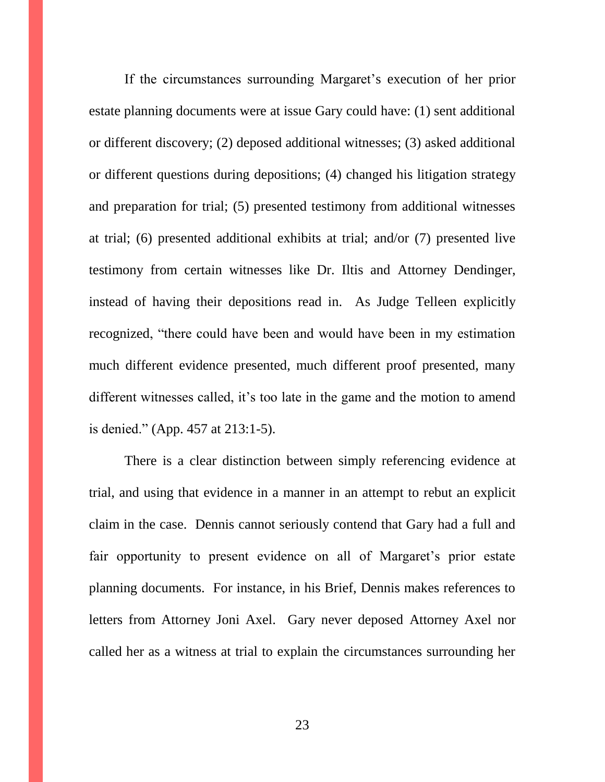If the circumstances surrounding Margaret's execution of her prior estate planning documents were at issue Gary could have: (1) sent additional or different discovery; (2) deposed additional witnesses; (3) asked additional or different questions during depositions; (4) changed his litigation strategy and preparation for trial; (5) presented testimony from additional witnesses at trial; (6) presented additional exhibits at trial; and/or (7) presented live testimony from certain witnesses like Dr. Iltis and Attorney Dendinger, instead of having their depositions read in. As Judge Telleen explicitly recognized, "there could have been and would have been in my estimation much different evidence presented, much different proof presented, many different witnesses called, it's too late in the game and the motion to amend is denied." (App. 457 at 213:1-5).

There is a clear distinction between simply referencing evidence at trial, and using that evidence in a manner in an attempt to rebut an explicit claim in the case. Dennis cannot seriously contend that Gary had a full and fair opportunity to present evidence on all of Margaret's prior estate planning documents. For instance, in his Brief, Dennis makes references to letters from Attorney Joni Axel. Gary never deposed Attorney Axel nor called her as a witness at trial to explain the circumstances surrounding her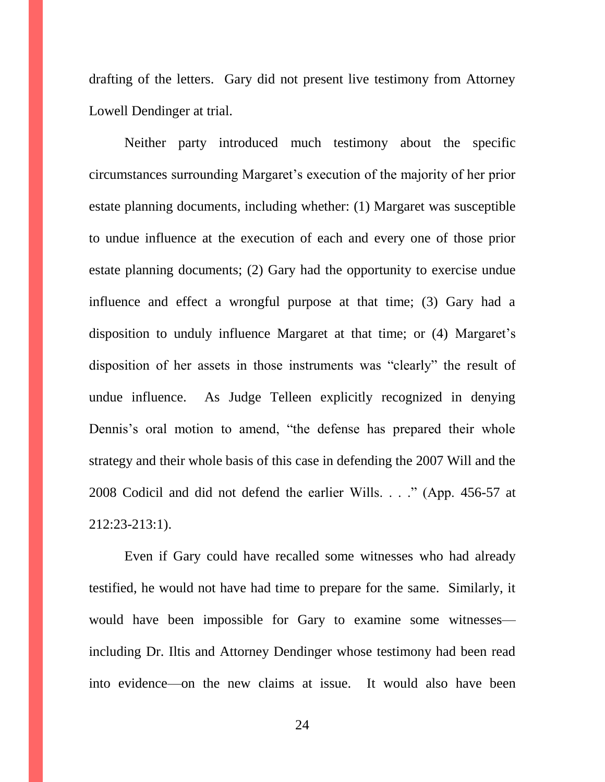drafting of the letters. Gary did not present live testimony from Attorney Lowell Dendinger at trial.

Neither party introduced much testimony about the specific circumstances surrounding Margaret's execution of the majority of her prior estate planning documents, including whether: (1) Margaret was susceptible to undue influence at the execution of each and every one of those prior estate planning documents; (2) Gary had the opportunity to exercise undue influence and effect a wrongful purpose at that time; (3) Gary had a disposition to unduly influence Margaret at that time; or (4) Margaret's disposition of her assets in those instruments was "clearly" the result of undue influence. As Judge Telleen explicitly recognized in denying Dennis's oral motion to amend, "the defense has prepared their whole strategy and their whole basis of this case in defending the 2007 Will and the 2008 Codicil and did not defend the earlier Wills. . . ." (App. 456-57 at 212:23-213:1).

Even if Gary could have recalled some witnesses who had already testified, he would not have had time to prepare for the same. Similarly, it would have been impossible for Gary to examine some witnesses including Dr. Iltis and Attorney Dendinger whose testimony had been read into evidence—on the new claims at issue. It would also have been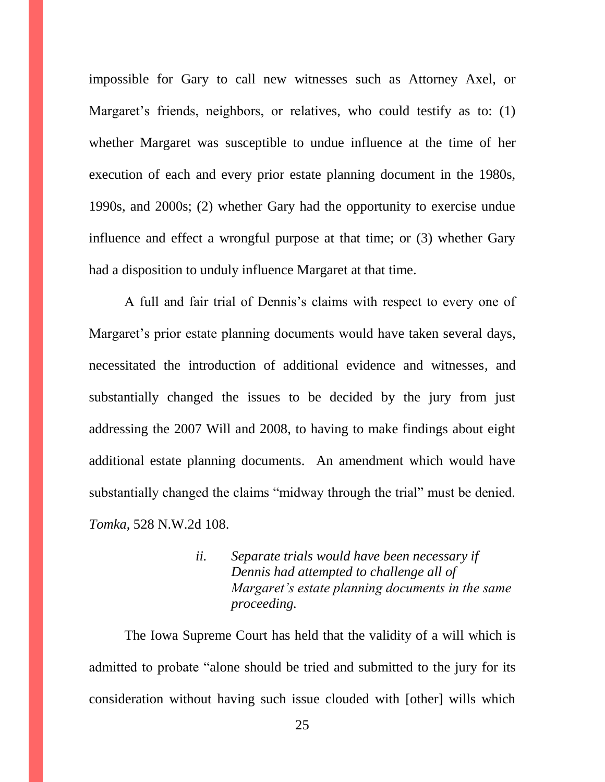impossible for Gary to call new witnesses such as Attorney Axel, or Margaret's friends, neighbors, or relatives, who could testify as to: (1) whether Margaret was susceptible to undue influence at the time of her execution of each and every prior estate planning document in the 1980s, 1990s, and 2000s; (2) whether Gary had the opportunity to exercise undue influence and effect a wrongful purpose at that time; or (3) whether Gary had a disposition to unduly influence Margaret at that time.

A full and fair trial of Dennis's claims with respect to every one of Margaret's prior estate planning documents would have taken several days, necessitated the introduction of additional evidence and witnesses, and substantially changed the issues to be decided by the jury from just addressing the 2007 Will and 2008, to having to make findings about eight additional estate planning documents. An amendment which would have substantially changed the claims "midway through the trial" must be denied. *Tomka*, 528 N.W.2d 108.

> *ii. Separate trials would have been necessary if Dennis had attempted to challenge all of Margaret's estate planning documents in the same proceeding.*

The Iowa Supreme Court has held that the validity of a will which is admitted to probate "alone should be tried and submitted to the jury for its consideration without having such issue clouded with [other] wills which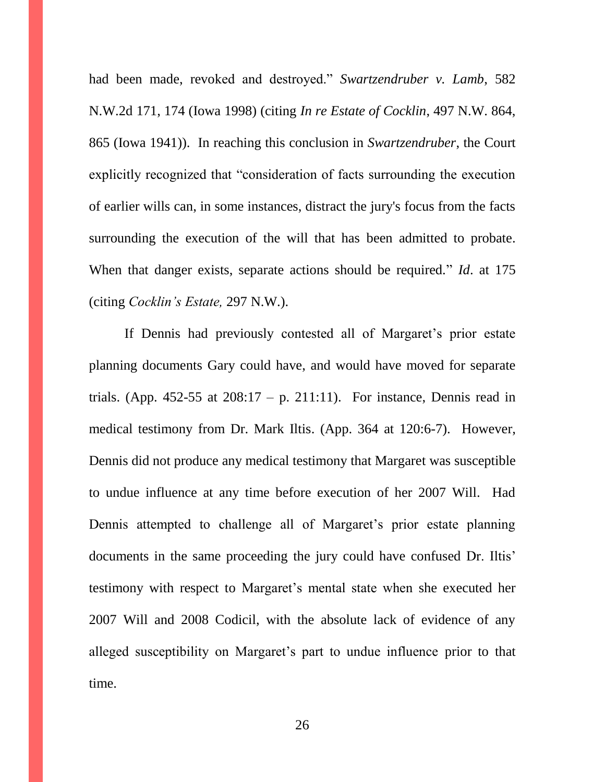had been made, revoked and destroyed." *Swartzendruber v. Lamb*, 582 N.W.2d 171, 174 (Iowa 1998) (citing *In re Estate of Cocklin*, 497 N.W. 864, 865 (Iowa 1941)). In reaching this conclusion in *Swartzendruber*, the Court explicitly recognized that "consideration of facts surrounding the execution of earlier wills can, in some instances, distract the jury's focus from the facts surrounding the execution of the will that has been admitted to probate. When that danger exists, separate actions should be required." *Id*. at 175 (citing *Cocklin's Estate,* 297 N.W.).

If Dennis had previously contested all of Margaret's prior estate planning documents Gary could have, and would have moved for separate trials. (App. 452-55 at  $208:17 - p$ . 211:11). For instance, Dennis read in medical testimony from Dr. Mark Iltis. (App. 364 at 120:6-7). However, Dennis did not produce any medical testimony that Margaret was susceptible to undue influence at any time before execution of her 2007 Will. Had Dennis attempted to challenge all of Margaret's prior estate planning documents in the same proceeding the jury could have confused Dr. Iltis' testimony with respect to Margaret's mental state when she executed her 2007 Will and 2008 Codicil, with the absolute lack of evidence of any alleged susceptibility on Margaret's part to undue influence prior to that time.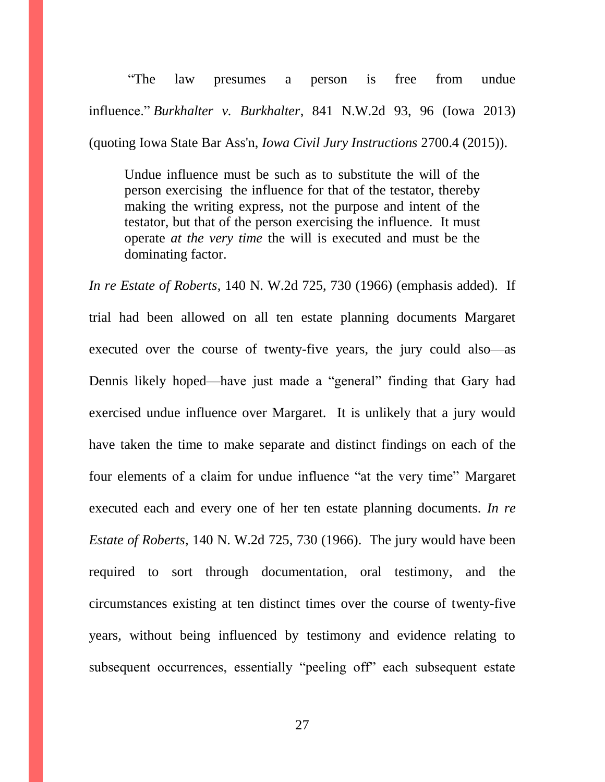"The law presumes a person is free from undue influence." *Burkhalter v. Burkhalter*, 841 N.W.2d 93, 96 (Iowa 2013) (quoting Iowa State Bar Ass'n, *Iowa Civil Jury Instructions* 2700.4 (2015)).

Undue influence must be such as to substitute the will of the person exercising the influence for that of the testator, thereby making the writing express, not the purpose and intent of the testator, but that of the person exercising the influence. It must operate *at the very time* the will is executed and must be the dominating factor.

*In re Estate of Roberts*, 140 N. W.2d 725, 730 (1966) (emphasis added). If trial had been allowed on all ten estate planning documents Margaret executed over the course of twenty-five years, the jury could also—as Dennis likely hoped—have just made a "general" finding that Gary had exercised undue influence over Margaret. It is unlikely that a jury would have taken the time to make separate and distinct findings on each of the four elements of a claim for undue influence "at the very time" Margaret executed each and every one of her ten estate planning documents. *In re Estate of Roberts*, 140 N. W.2d 725, 730 (1966). The jury would have been required to sort through documentation, oral testimony, and the circumstances existing at ten distinct times over the course of twenty-five years, without being influenced by testimony and evidence relating to subsequent occurrences, essentially "peeling off" each subsequent estate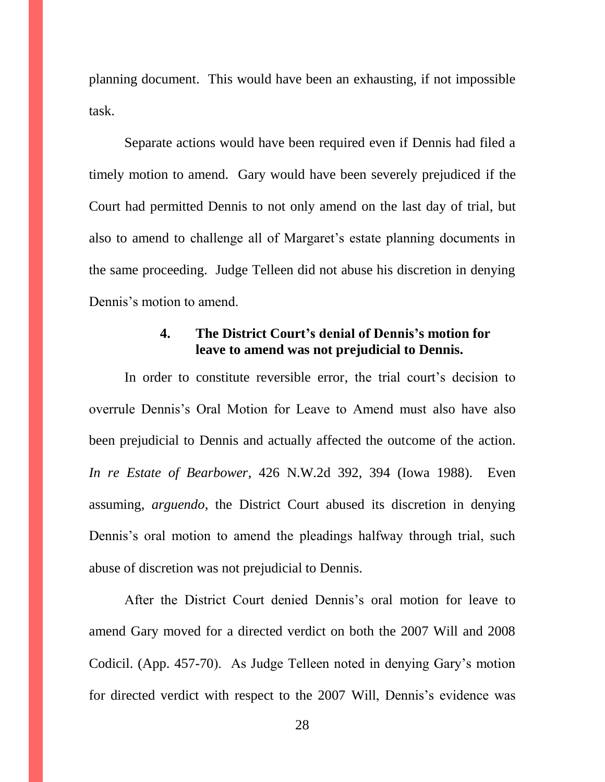planning document. This would have been an exhausting, if not impossible task.

Separate actions would have been required even if Dennis had filed a timely motion to amend. Gary would have been severely prejudiced if the Court had permitted Dennis to not only amend on the last day of trial, but also to amend to challenge all of Margaret's estate planning documents in the same proceeding. Judge Telleen did not abuse his discretion in denying Dennis's motion to amend.

# **4. The District Court's denial of Dennis's motion for leave to amend was not prejudicial to Dennis.**

In order to constitute reversible error, the trial court's decision to overrule Dennis's Oral Motion for Leave to Amend must also have also been prejudicial to Dennis and actually affected the outcome of the action. *In re Estate of Bearbower*, 426 N.W.2d 392, 394 (Iowa 1988). Even assuming, *arguendo*, the District Court abused its discretion in denying Dennis's oral motion to amend the pleadings halfway through trial, such abuse of discretion was not prejudicial to Dennis.

After the District Court denied Dennis's oral motion for leave to amend Gary moved for a directed verdict on both the 2007 Will and 2008 Codicil. (App. 457-70). As Judge Telleen noted in denying Gary's motion for directed verdict with respect to the 2007 Will, Dennis's evidence was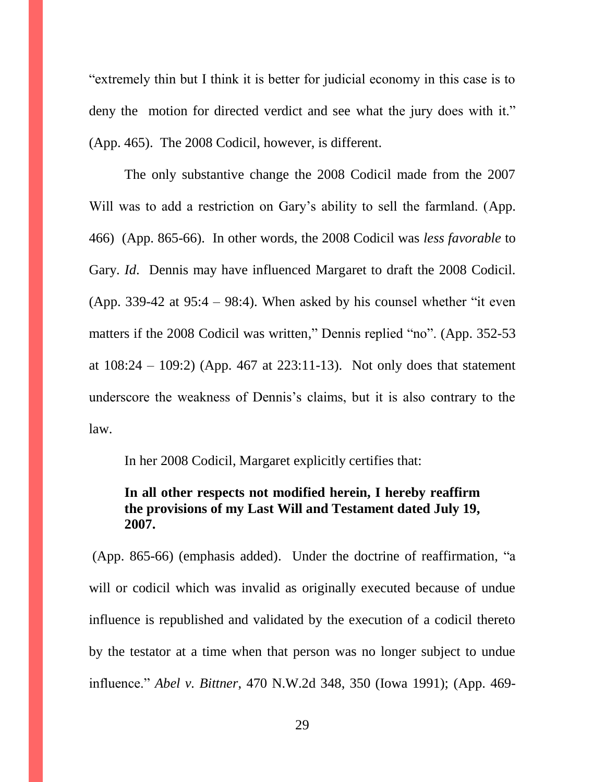"extremely thin but I think it is better for judicial economy in this case is to deny the motion for directed verdict and see what the jury does with it." (App. 465). The 2008 Codicil, however, is different.

The only substantive change the 2008 Codicil made from the 2007 Will was to add a restriction on Gary's ability to sell the farmland. (App. 466) (App. 865-66). In other words, the 2008 Codicil was *less favorable* to Gary. *Id*. Dennis may have influenced Margaret to draft the 2008 Codicil. (App. 339-42 at  $95:4 - 98:4$ ). When asked by his counsel whether "it even matters if the 2008 Codicil was written," Dennis replied "no". (App. 352-53 at  $108:24 - 109:2$  (App. 467 at  $223:11-13$ ). Not only does that statement underscore the weakness of Dennis's claims, but it is also contrary to the law.

In her 2008 Codicil, Margaret explicitly certifies that:

# **In all other respects not modified herein, I hereby reaffirm the provisions of my Last Will and Testament dated July 19, 2007.**

(App. 865-66) (emphasis added). Under the doctrine of reaffirmation, "a will or codicil which was invalid as originally executed because of undue influence is republished and validated by the execution of a codicil thereto by the testator at a time when that person was no longer subject to undue influence." *Abel v. Bittner*, 470 N.W.2d 348, 350 (Iowa 1991); (App. 469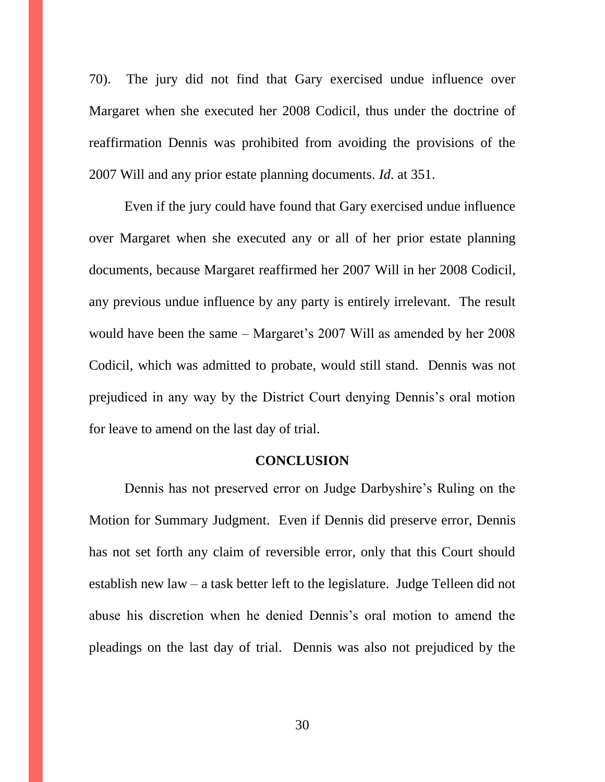70). The jury did not find that Gary exercised undue influence over Margaret when she executed her 2008 Codicil, thus under the doctrine of reaffirmation Dennis was prohibited from avoiding the provisions of the 2007 Will and any prior estate planning documents. *Id*. at 351.

Even if the jury could have found that Gary exercised undue influence over Margaret when she executed any or all of her prior estate planning documents, because Margaret reaffirmed her 2007 Will in her 2008 Codicil, any previous undue influence by any party is entirely irrelevant. The result would have been the same – Margaret's 2007 Will as amended by her 2008 Codicil, which was admitted to probate, would still stand. Dennis was not prejudiced in any way by the District Court denying Dennis's oral motion for leave to amend on the last day of trial.

### **CONCLUSION**

Dennis has not preserved error on Judge Darbyshire's Ruling on the Motion for Summary Judgment. Even if Dennis did preserve error, Dennis has not set forth any claim of reversible error, only that this Court should establish new law – a task better left to the legislature. Judge Telleen did not abuse his discretion when he denied Dennis's oral motion to amend the pleadings on the last day of trial. Dennis was also not prejudiced by the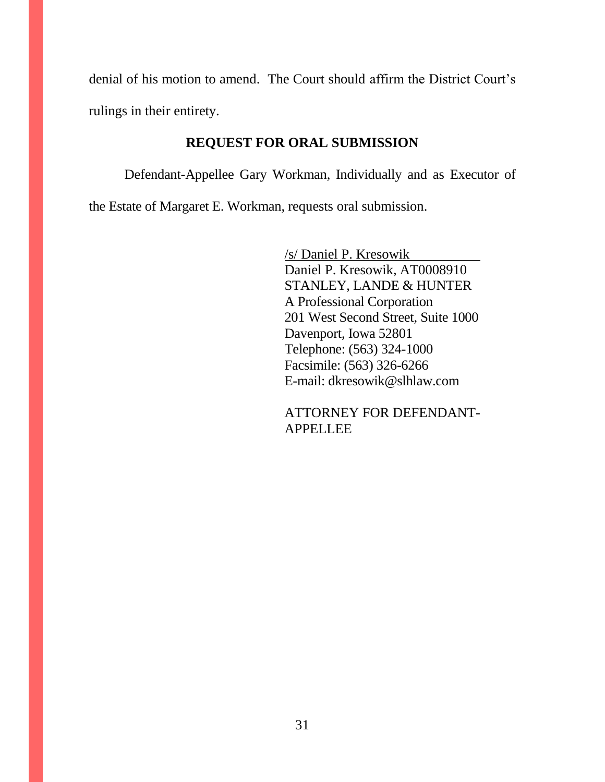denial of his motion to amend. The Court should affirm the District Court's rulings in their entirety.

# **REQUEST FOR ORAL SUBMISSION**

Defendant-Appellee Gary Workman, Individually and as Executor of the Estate of Margaret E. Workman, requests oral submission.

> /s/ Daniel P. Kresowik Daniel P. Kresowik, AT0008910 STANLEY, LANDE & HUNTER A Professional Corporation 201 West Second Street, Suite 1000 Davenport, Iowa 52801 Telephone: (563) 324-1000 Facsimile: (563) 326-6266 E-mail: dkresowik@slhlaw.com

> ATTORNEY FOR DEFENDANT-APPELLEE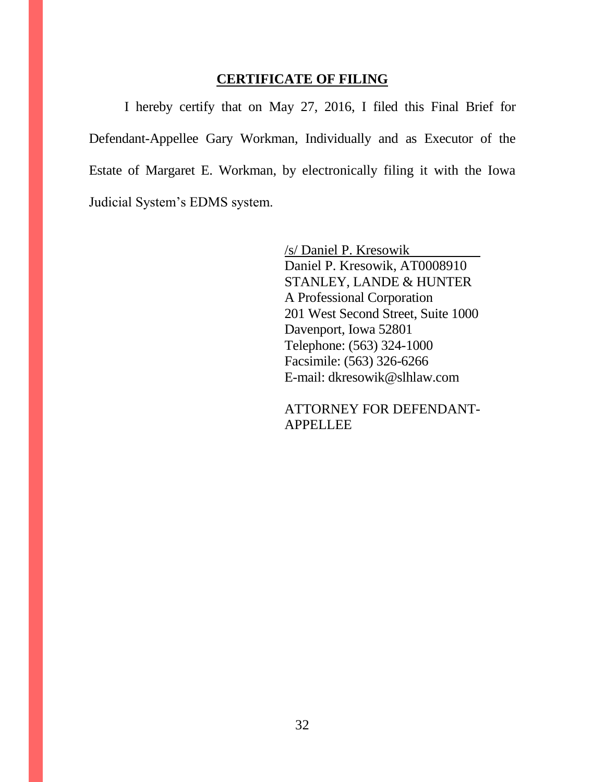### **CERTIFICATE OF FILING**

I hereby certify that on May 27, 2016, I filed this Final Brief for Defendant-Appellee Gary Workman, Individually and as Executor of the Estate of Margaret E. Workman, by electronically filing it with the Iowa Judicial System's EDMS system.

> /s/ Daniel P. Kresowik Daniel P. Kresowik, AT0008910 STANLEY, LANDE & HUNTER A Professional Corporation 201 West Second Street, Suite 1000 Davenport, Iowa 52801 Telephone: (563) 324-1000 Facsimile: (563) 326-6266 E-mail: dkresowik@slhlaw.com

> ATTORNEY FOR DEFENDANT-**APPELLEE**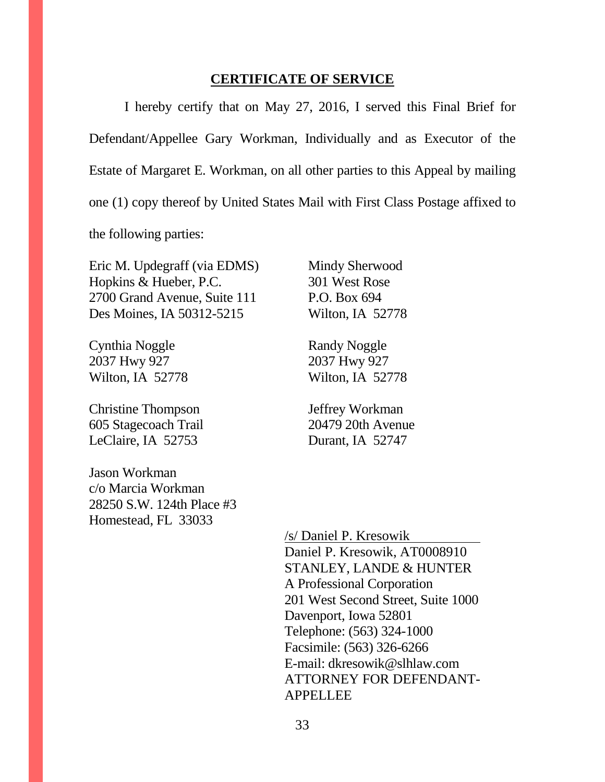### **CERTIFICATE OF SERVICE**

I hereby certify that on May 27, 2016, I served this Final Brief for Defendant/Appellee Gary Workman, Individually and as Executor of the Estate of Margaret E. Workman, on all other parties to this Appeal by mailing one (1) copy thereof by United States Mail with First Class Postage affixed to the following parties:

Eric M. Updegraff (via EDMS) Hopkins & Hueber, P.C. 2700 Grand Avenue, Suite 111 Des Moines, IA 50312-5215

Cynthia Noggle 2037 Hwy 927 Wilton, IA 52778

Christine Thompson 605 Stagecoach Trail LeClaire, IA 52753

Jason Workman c/o Marcia Workman 28250 S.W. 124th Place #3 Homestead, FL 33033

Mindy Sherwood 301 West Rose P.O. Box 694 Wilton, IA 52778

Randy Noggle 2037 Hwy 927 Wilton, IA 52778

Jeffrey Workman 20479 20th Avenue Durant, IA 52747

/s/ Daniel P. Kresowik Daniel P. Kresowik, AT0008910 STANLEY, LANDE & HUNTER A Professional Corporation 201 West Second Street, Suite 1000 Davenport, Iowa 52801 Telephone: (563) 324-1000 Facsimile: (563) 326-6266 E-mail: dkresowik@slhlaw.com ATTORNEY FOR DEFENDANT-APPELLEE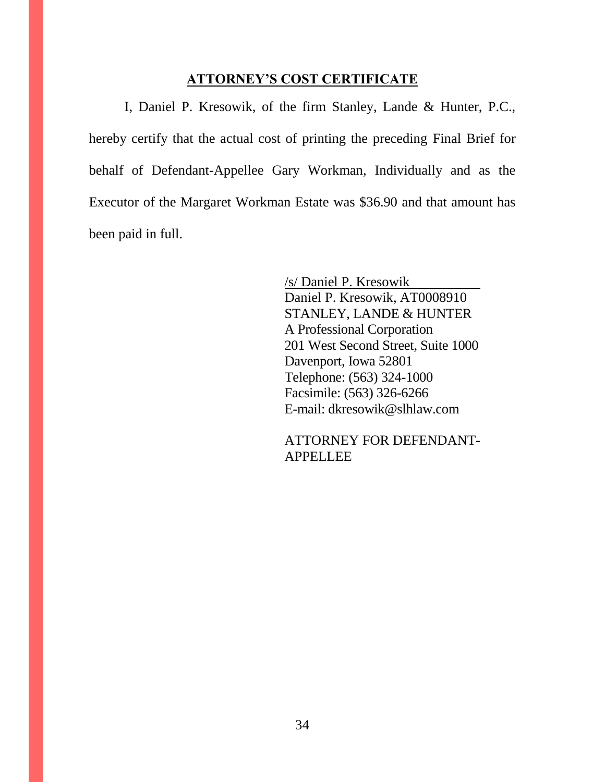### **ATTORNEY'S COST CERTIFICATE**

I, Daniel P. Kresowik, of the firm Stanley, Lande & Hunter, P.C., hereby certify that the actual cost of printing the preceding Final Brief for behalf of Defendant-Appellee Gary Workman, Individually and as the Executor of the Margaret Workman Estate was \$36.90 and that amount has been paid in full.

> /s/ Daniel P. Kresowik Daniel P. Kresowik, AT0008910 STANLEY, LANDE & HUNTER A Professional Corporation 201 West Second Street, Suite 1000 Davenport, Iowa 52801 Telephone: (563) 324-1000 Facsimile: (563) 326-6266 E-mail: dkresowik@slhlaw.com

> ATTORNEY FOR DEFENDANT-APPELLEE